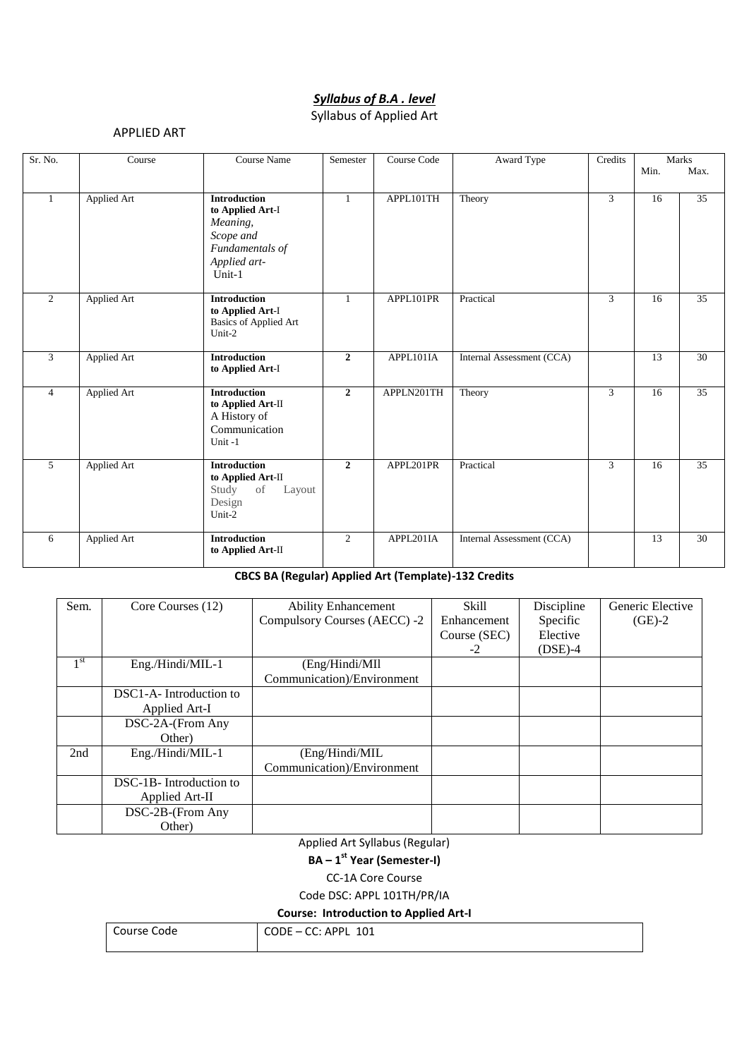# *Syllabus of B.A . level*

### Syllabus of Applied Art

#### APPLIED ART

| Sr. No.        | Course             | Course Name                                                                                                   | Semester       | Course Code | Award Type                | Credits        |                 | Marks           |
|----------------|--------------------|---------------------------------------------------------------------------------------------------------------|----------------|-------------|---------------------------|----------------|-----------------|-----------------|
|                |                    |                                                                                                               |                |             |                           |                | Min.            | Max.            |
|                | <b>Applied Art</b> | <b>Introduction</b><br>to Applied Art-I<br>Meaning,<br>Scope and<br>Fundamentals of<br>Applied art-<br>Unit-1 | $\mathbf{1}$   | APPL101TH   | Theory                    | $\overline{3}$ | 16              | 35              |
| 2              | <b>Applied Art</b> | <b>Introduction</b><br>to Applied Art-I<br><b>Basics of Applied Art</b><br>Unit-2                             | $\mathbf{1}$   | APPL101PR   | Practical                 | 3              | 16              | 35              |
| 3              | <b>Applied Art</b> | <b>Introduction</b><br>to Applied Art-I                                                                       | $\overline{2}$ | APPL101IA   | Internal Assessment (CCA) |                | 13              | 30              |
| $\overline{4}$ | <b>Applied Art</b> | <b>Introduction</b><br>to Applied Art-II<br>A History of<br>Communication<br>Unit-1                           | $\overline{2}$ | APPLN201TH  | Theory                    | 3              | 16              | 35              |
| $\overline{5}$ | <b>Applied Art</b> | <b>Introduction</b><br>to Applied Art-II<br>Study<br>of<br>Layout<br>Design<br>Unit-2                         | $\overline{2}$ | APPL201PR   | Practical                 | $\overline{3}$ | $\overline{16}$ | $\overline{35}$ |
| 6              | Applied Art        | <b>Introduction</b><br>to Applied Art-II                                                                      | 2              | APPL201IA   | Internal Assessment (CCA) |                | 13              | 30              |

#### **CBCS BA (Regular) Applied Art (Template)-132 Credits**

| Sem.            | Core Courses (12)      | <b>Ability Enhancement</b>   | Skill        | Discipline | Generic Elective |
|-----------------|------------------------|------------------------------|--------------|------------|------------------|
|                 |                        | Compulsory Courses (AECC) -2 | Enhancement  | Specific   | $(GE)-2$         |
|                 |                        |                              | Course (SEC) | Elective   |                  |
|                 |                        |                              | $-2$         | $(DSE)-4$  |                  |
| 1 <sup>st</sup> | Eng./Hindi/MIL-1       | (Eng/Hindi/MIl               |              |            |                  |
|                 |                        | Communication)/Environment   |              |            |                  |
|                 | DSC1-A-Introduction to |                              |              |            |                  |
|                 | Applied Art-I          |                              |              |            |                  |
|                 | DSC-2A-(From Any       |                              |              |            |                  |
|                 | Other)                 |                              |              |            |                  |
| 2nd             | Eng./Hindi/MIL-1       | (Eng/Hindi/MIL               |              |            |                  |
|                 |                        | Communication)/Environment   |              |            |                  |
|                 | DSC-1B-Introduction to |                              |              |            |                  |
|                 | Applied Art-II         |                              |              |            |                  |
|                 | DSC-2B-(From Any       |                              |              |            |                  |
|                 | Other)                 |                              |              |            |                  |

Applied Art Syllabus (Regular)

**BA – 1 st Year (Semester-I)**

CC-1A Core Course

Code DSC: APPL 101TH/PR/IA

**Course: Introduction to Applied Art-I**

| Course Code | CODE - CC: APPL 101 |
|-------------|---------------------|
|             |                     |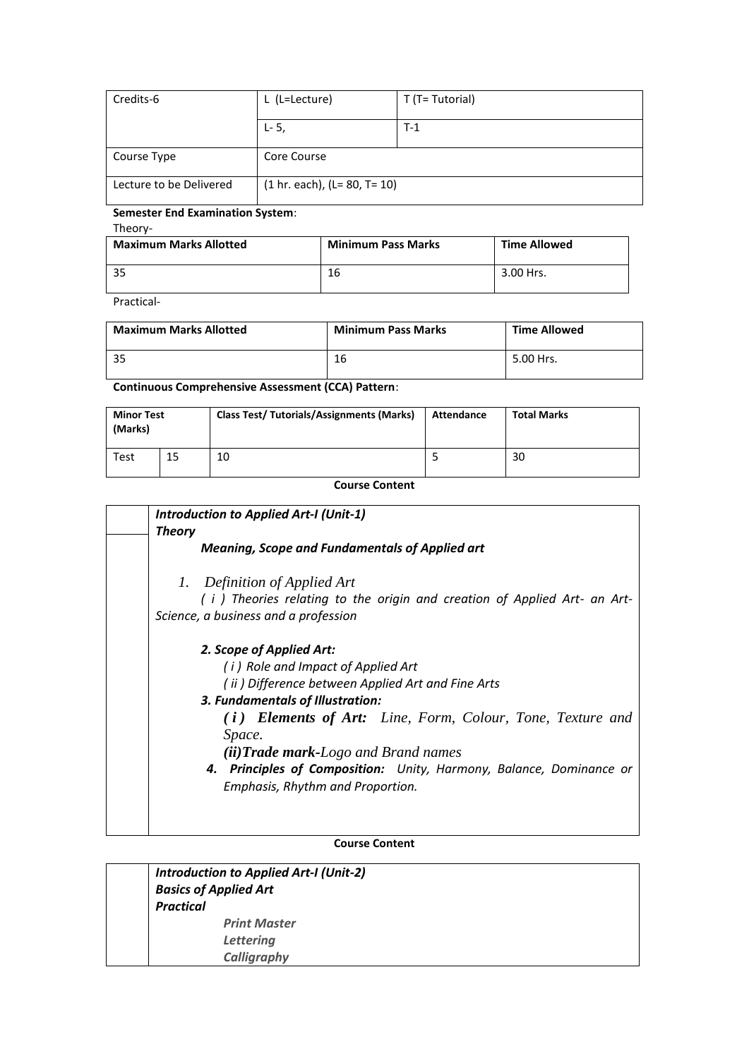| Credits-6               | L (L=Lecture)                  | T (T= Tutorial) |
|-------------------------|--------------------------------|-----------------|
|                         | $L - 5$ ,                      | $T-1$           |
| Course Type             | Core Course                    |                 |
| Lecture to be Delivered | $(1 hr. each), (L= 80, T= 10)$ |                 |

#### **Semester End Examination System**:

Theory-

| <b>Maximum Marks Allotted</b> | <b>Minimum Pass Marks</b> | <b>Time Allowed</b> |
|-------------------------------|---------------------------|---------------------|
| -35                           | 16                        | 3.00 Hrs.           |

Practical-

| <b>Maximum Marks Allotted</b> | <b>Minimum Pass Marks</b> | <b>Time Allowed</b> |
|-------------------------------|---------------------------|---------------------|
| -35                           | 16                        | 5.00 Hrs.           |

**Continuous Comprehensive Assessment (CCA) Pattern**:

| <b>Minor Test</b><br>(Marks) |    | <b>Class Test/ Tutorials/Assignments (Marks)</b> | Attendance | <b>Total Marks</b> |
|------------------------------|----|--------------------------------------------------|------------|--------------------|
| Test                         | 15 | 10                                               |            | 30                 |

**Course Content** 

| <b>Introduction to Applied Art-I (Unit-1)</b>                                                                                                    |
|--------------------------------------------------------------------------------------------------------------------------------------------------|
| <b>Theory</b>                                                                                                                                    |
| <b>Meaning, Scope and Fundamentals of Applied art</b>                                                                                            |
| 1. Definition of Applied Art<br>(i) Theories relating to the origin and creation of Applied Art- an Art-<br>Science, a business and a profession |
|                                                                                                                                                  |
| 2. Scope of Applied Art:<br>(i) Role and Impact of Applied Art<br>(ii) Difference between Applied Art and Fine Arts                              |
| 3. Fundamentals of Illustration:<br>(i) Elements of Art: Line, Form, Colour, Tone, Texture and<br>Space.                                         |
| $(ii) Trade mark-Logo$ and Brand names                                                                                                           |
| 4. Principles of Composition: Unity, Harmony, Balance, Dominance or<br>Emphasis, Rhythm and Proportion.                                          |
|                                                                                                                                                  |

#### **Course Content**

| <b>Introduction to Applied Art-I (Unit-2)</b> |
|-----------------------------------------------|
| <b>Basics of Applied Art</b>                  |
| <b>Practical</b>                              |
| <b>Print Master</b>                           |
| <b>Lettering</b>                              |
| Calligraphy                                   |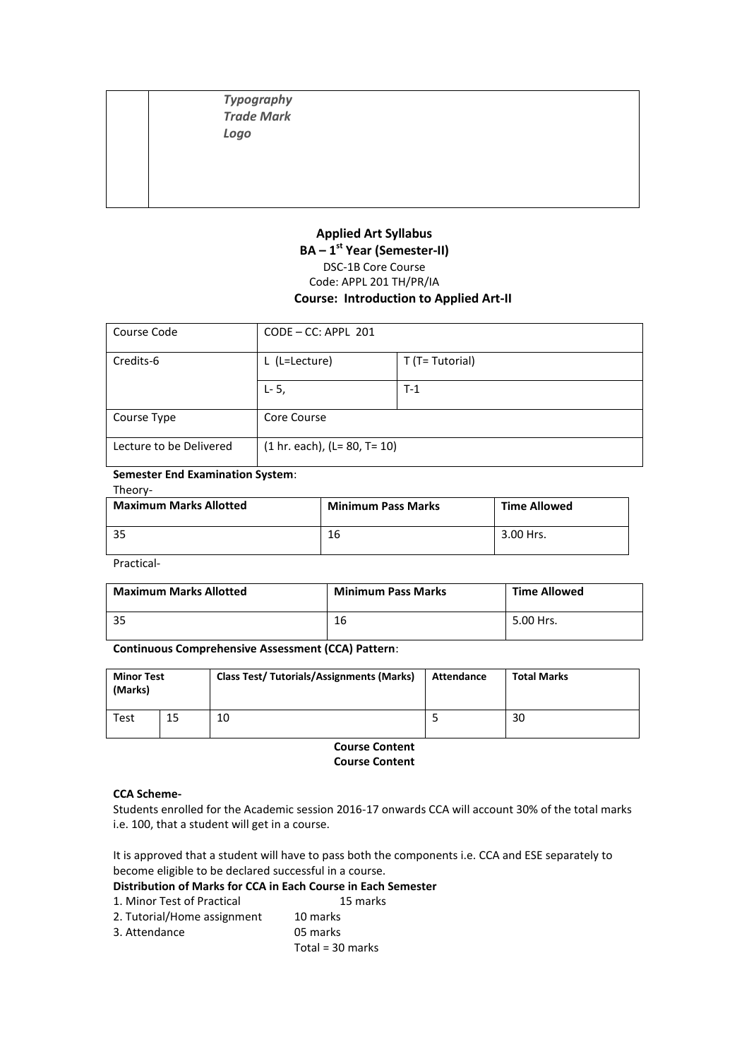*Typography Trade Mark Logo*

#### **Applied Art Syllabus BA – 1 st Year (Semester-II)** DSC-1B Core Course Code: APPL 201 TH/PR/IA **Course: Introduction to Applied Art-II**

| Course Code             | $CODE - CC: APPL 201$          |                 |
|-------------------------|--------------------------------|-----------------|
| Credits-6               | L (L=Lecture)                  | T (T= Tutorial) |
|                         | $L - 5$ ,                      | $T-1$           |
| Course Type             | Core Course                    |                 |
| Lecture to be Delivered | $(1 hr. each), (L= 80, T= 10)$ |                 |

#### **Semester End Examination System**:

#### Theory-

| <b>Maximum Marks Allotted</b> | <b>Minimum Pass Marks</b> | <b>Time Allowed</b> |
|-------------------------------|---------------------------|---------------------|
| -35                           | 16                        | 3.00 Hrs.           |

Practical-

| <b>Maximum Marks Allotted</b> | <b>Minimum Pass Marks</b> | <b>Time Allowed</b> |
|-------------------------------|---------------------------|---------------------|
|                               | 16                        | 5.00 Hrs.           |

#### **Continuous Comprehensive Assessment (CCA) Pattern**:

| <b>Minor Test</b><br>(Marks) |    | <b>Class Test/ Tutorials/Assignments (Marks)</b> | Attendance | <b>Total Marks</b> |  |
|------------------------------|----|--------------------------------------------------|------------|--------------------|--|
| <b>Test</b>                  | 15 | 10                                               |            | 30                 |  |

**Course Content Course Content** 

#### **CCA Scheme-**

Students enrolled for the Academic session 2016-17 onwards CCA will account 30% of the total marks i.e. 100, that a student will get in a course.

It is approved that a student will have to pass both the components i.e. CCA and ESE separately to become eligible to be declared successful in a course.

# **Distribution of Marks for CCA in Each Course in Each Semester**

- 1. Minor Test of Practical
- 2. Tutorial/Home assignment 10 marks
- 3. Attendance 05 marks
	- Total = 30 marks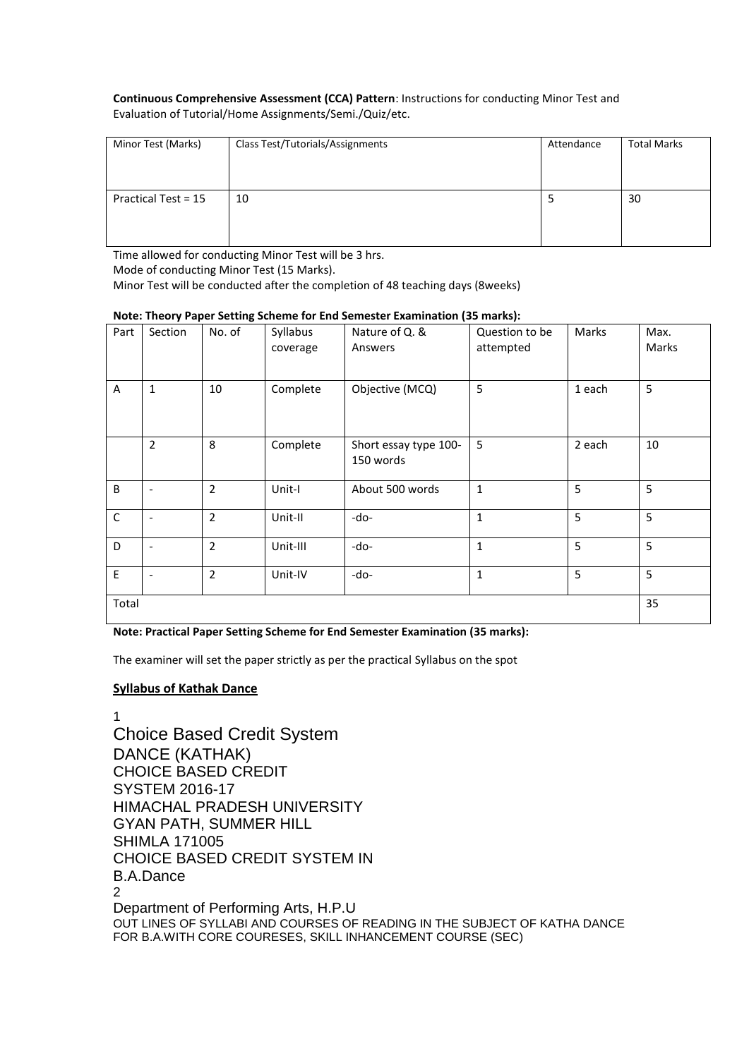#### **Continuous Comprehensive Assessment (CCA) Pattern**: Instructions for conducting Minor Test and Evaluation of Tutorial/Home Assignments/Semi./Quiz/etc.

| Minor Test (Marks)  | Class Test/Tutorials/Assignments | Attendance | <b>Total Marks</b> |
|---------------------|----------------------------------|------------|--------------------|
| Practical Test = 15 | 10                               |            | 30                 |

Time allowed for conducting Minor Test will be 3 hrs.

Mode of conducting Minor Test (15 Marks).

Minor Test will be conducted after the completion of 48 teaching days (8weeks)

| Part         | Section                  | , <b></b> .<br>No. of | Syllabus<br>coverage | Nature of Q. &<br>Answers          | Question to be<br>attempted | Marks  | Max.<br>Marks |
|--------------|--------------------------|-----------------------|----------------------|------------------------------------|-----------------------------|--------|---------------|
| A            | $\mathbf{1}$             | 10                    | Complete             | Objective (MCQ)                    | 5                           | 1 each | 5             |
|              | $\overline{2}$           | 8                     | Complete             | Short essay type 100-<br>150 words | 5                           | 2 each | 10            |
| B            | $\overline{\phantom{a}}$ | $\overline{2}$        | Unit-I               | About 500 words                    | $\mathbf{1}$                | 5      | 5             |
| $\mathsf{C}$ | $\overline{\phantom{a}}$ | $\overline{2}$        | Unit-II              | -do-                               | $\mathbf{1}$                | 5      | 5             |
| D            | $\overline{\phantom{a}}$ | $\overline{2}$        | Unit-III             | -do-                               | $\mathbf{1}$                | 5      | 5             |
| E            | $\overline{\phantom{a}}$ | $\overline{2}$        | Unit-IV              | -do-                               | $\mathbf 1$                 | 5      | 5             |
| Total        |                          |                       |                      |                                    |                             |        | 35            |

#### **Note: Theory Paper Setting Scheme for End Semester Examination (35 marks):**

**Note: Practical Paper Setting Scheme for End Semester Examination (35 marks):**

The examiner will set the paper strictly as per the practical Syllabus on the spot

#### **Syllabus of Kathak Dance**

1 Choice Based Credit System DANCE (KATHAK) CHOICE BASED CREDIT SYSTEM 2016-17 HIMACHAL PRADESH UNIVERSITY GYAN PATH, SUMMER HILL SHIMLA 171005 CHOICE BASED CREDIT SYSTEM IN B.A.Dance 2 Department of Performing Arts, H.P.U OUT LINES OF SYLLABI AND COURSES OF READING IN THE SUBJECT OF KATHA DANCE FOR B.A.WITH CORE COURESES, SKILL INHANCEMENT COURSE (SEC)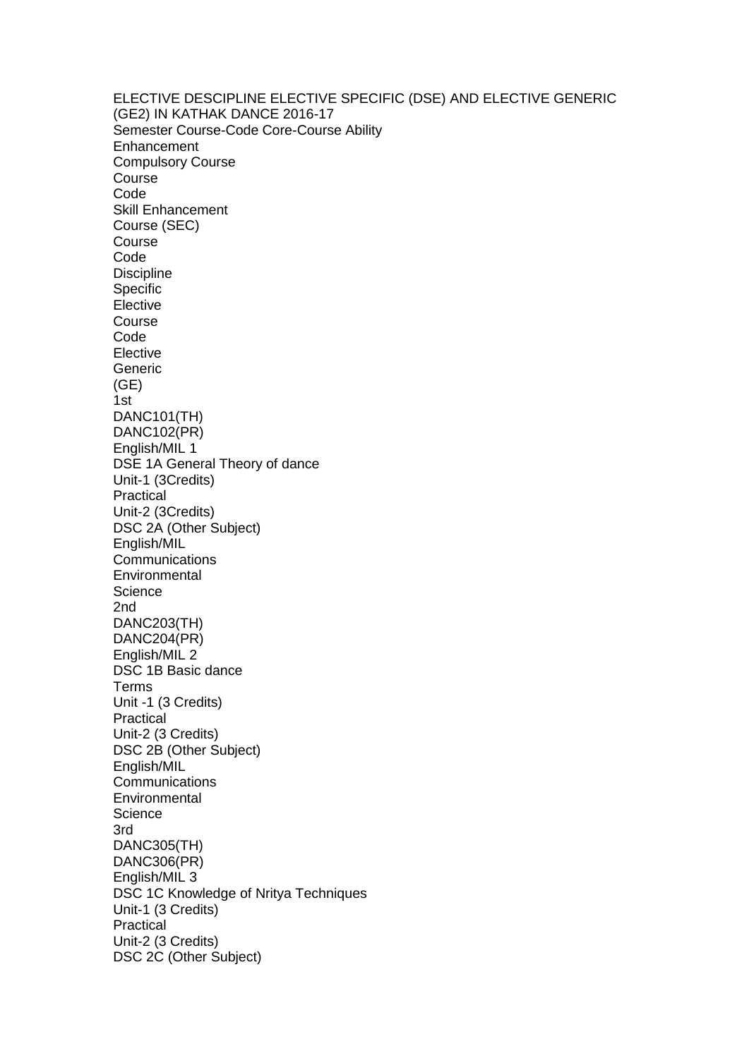ELECTIVE DESCIPLINE ELECTIVE SPECIFIC (DSE) AND ELECTIVE GENERIC (GE2) IN KATHAK DANCE 2016-17 Semester Course-Code Core-Course Ability **Enhancement** Compulsory Course Course Code Skill Enhancement Course (SEC) Course Code **Discipline** Specific Elective Course Code **Elective** Generic (GE) 1st DANC101(TH) DANC102(PR) English/MIL 1 DSE 1A General Theory of dance Unit-1 (3Credits) Practical Unit-2 (3Credits) DSC 2A (Other Subject) English/MIL **Communications** Environmental **Science** 2nd DANC203(TH) DANC204(PR) English/MIL 2 DSC 1B Basic dance Terms Unit -1 (3 Credits) Practical Unit-2 (3 Credits) DSC 2B (Other Subject) English/MIL Communications **Environmental Science** 3rd DANC305(TH) DANC306(PR) English/MIL 3 DSC 1C Knowledge of Nritya Techniques Unit-1 (3 Credits) Practical Unit-2 (3 Credits) DSC 2C (Other Subject)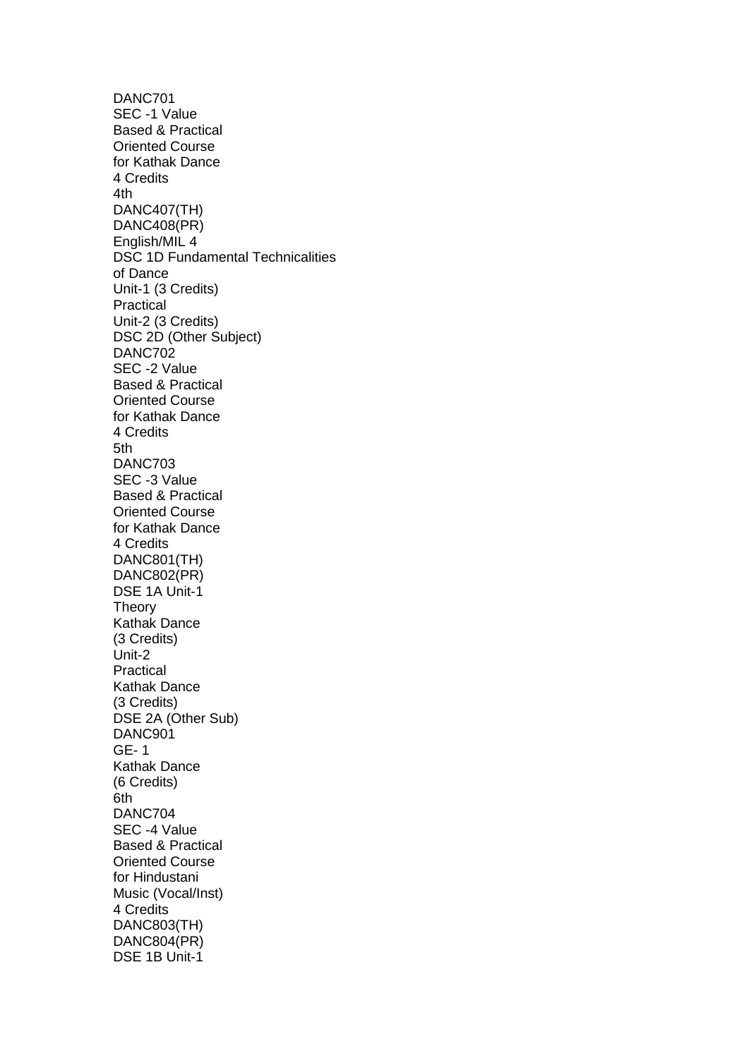DANC701 SEC -1 Value Based & Practical Oriented Course for Kathak Dance 4 Credits 4th DANC407(TH) DANC408(PR) English/MIL 4 DSC 1D Fundamental Technicalities of Dance Unit-1 (3 Credits) Practical Unit-2 (3 Credits) DSC 2D (Other Subject) DANC702 SEC -2 Value Based & Practical Oriented Course for Kathak Dance 4 Credits 5th DANC703 SEC -3 Value Based & Practical Oriented Course for Kathak Dance 4 Credits DANC801(TH) DANC802(PR) DSE 1A Unit-1 **Theory** Kathak Dance (3 Credits) Unit-2 Practical Kathak Dance (3 Credits) DSE 2A (Other Sub) DANC901 GE- 1 Kathak Dance (6 Credits) 6th DANC704 SEC -4 Value Based & Practical Oriented Course for Hindustani Music (Vocal/Inst) 4 Credits DANC803(TH) DANC804(PR) DSE 1B Unit-1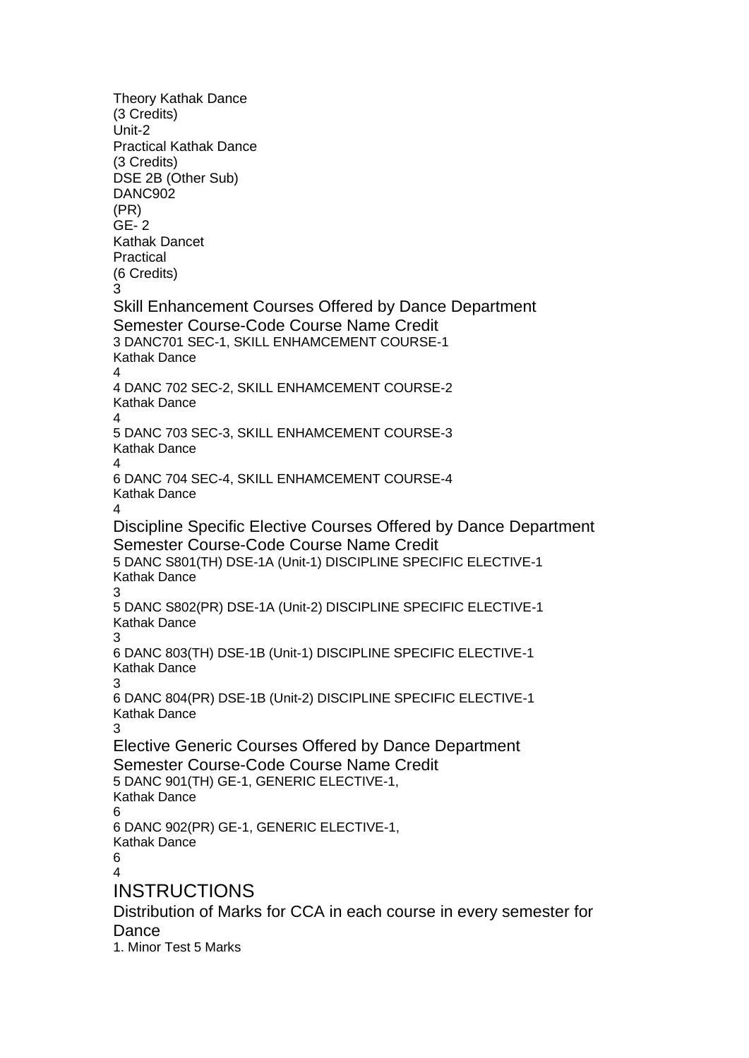Theory Kathak Dance (3 Credits) Unit-2 Practical Kathak Dance (3 Credits) DSE 2B (Other Sub) DANC902 (PR) GE- 2 Kathak Dancet Practical (6 Credits) 3 Skill Enhancement Courses Offered by Dance Department Semester Course-Code Course Name Credit 3 DANC701 SEC-1, SKILL ENHAMCEMENT COURSE-1 Kathak Dance  $\lambda$ 4 DANC 702 SEC-2, SKILL ENHAMCEMENT COURSE-2 Kathak Dance 4 5 DANC 703 SEC-3, SKILL ENHAMCEMENT COURSE-3 Kathak Dance 4 6 DANC 704 SEC-4, SKILL ENHAMCEMENT COURSE-4 Kathak Dance  $\lambda$ Discipline Specific Elective Courses Offered by Dance Department Semester Course-Code Course Name Credit 5 DANC S801(TH) DSE-1A (Unit-1) DISCIPLINE SPECIFIC ELECTIVE-1 Kathak Dance 3 5 DANC S802(PR) DSE-1A (Unit-2) DISCIPLINE SPECIFIC ELECTIVE-1 Kathak Dance 3 6 DANC 803(TH) DSE-1B (Unit-1) DISCIPLINE SPECIFIC ELECTIVE-1 Kathak Dance 3 6 DANC 804(PR) DSE-1B (Unit-2) DISCIPLINE SPECIFIC ELECTIVE-1 Kathak Dance 3 Elective Generic Courses Offered by Dance Department Semester Course-Code Course Name Credit 5 DANC 901(TH) GE-1, GENERIC ELECTIVE-1, Kathak Dance 6 6 DANC 902(PR) GE-1, GENERIC ELECTIVE-1, Kathak Dance 6  $\overline{A}$ INSTRUCTIONS Distribution of Marks for CCA in each course in every semester for **Dance** 1. Minor Test 5 Marks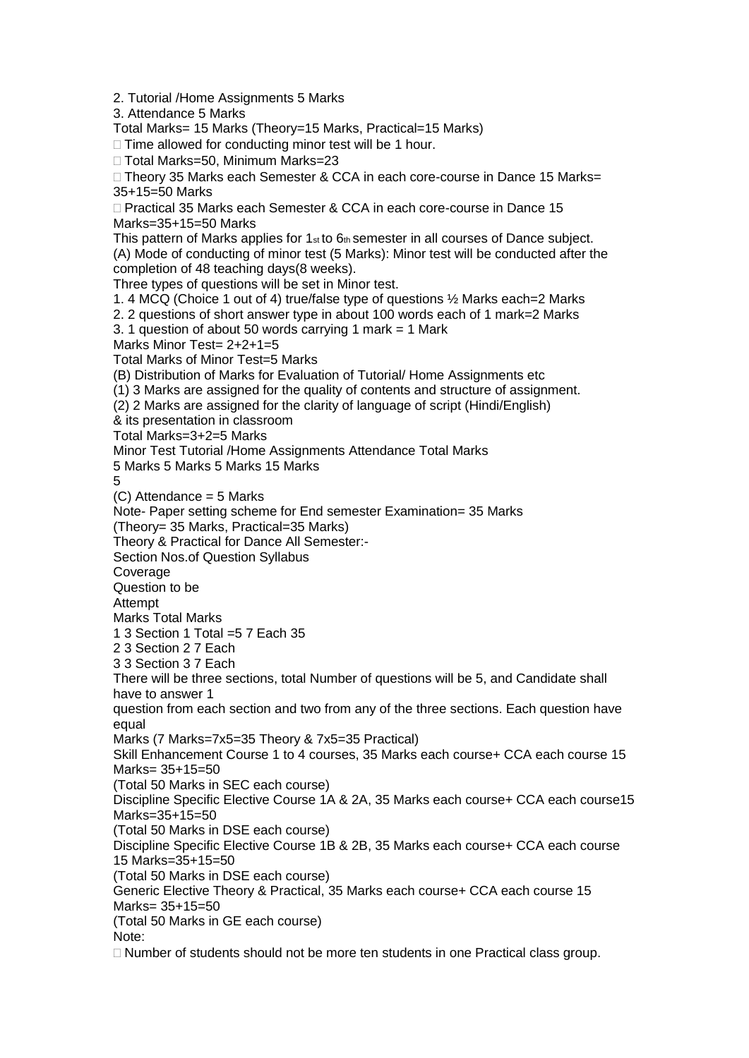3. Attendance 5 Marks Total Marks= 15 Marks (Theory=15 Marks, Practical=15 Marks)  $\Box$  Time allowed for conducting minor test will be 1 hour. □ Total Marks=50, Minimum Marks=23 □ Theory 35 Marks each Semester & CCA in each core-course in Dance 15 Marks= 35+15=50 Marks □ Practical 35 Marks each Semester & CCA in each core-course in Dance 15 Marks=35+15=50 Marks This pattern of Marks applies for  $1<sub>st</sub>$  to  $6<sub>th</sub>$  semester in all courses of Dance subject. (A) Mode of conducting of minor test (5 Marks): Minor test will be conducted after the completion of 48 teaching days(8 weeks). Three types of questions will be set in Minor test. 1. 4 MCQ (Choice 1 out of 4) true/false type of questions ½ Marks each=2 Marks 2. 2 questions of short answer type in about 100 words each of 1 mark=2 Marks 3. 1 question of about 50 words carrying 1 mark = 1 Mark Marks Minor Test= 2+2+1=5 Total Marks of Minor Test=5 Marks (B) Distribution of Marks for Evaluation of Tutorial/ Home Assignments etc (1) 3 Marks are assigned for the quality of contents and structure of assignment. (2) 2 Marks are assigned for the clarity of language of script (Hindi/English) & its presentation in classroom Total Marks=3+2=5 Marks Minor Test Tutorial /Home Assignments Attendance Total Marks 5 Marks 5 Marks 5 Marks 15 Marks 5 (C) Attendance = 5 Marks Note- Paper setting scheme for End semester Examination= 35 Marks (Theory= 35 Marks, Practical=35 Marks) Theory & Practical for Dance All Semester:- Section Nos.of Question Syllabus Coverage Question to be Attempt Marks Total Marks 1 3 Section 1 Total =5 7 Each 35 2 3 Section 2 7 Each 3 3 Section 3 7 Each There will be three sections, total Number of questions will be 5, and Candidate shall have to answer 1 question from each section and two from any of the three sections. Each question have equal Marks (7 Marks=7x5=35 Theory & 7x5=35 Practical) Skill Enhancement Course 1 to 4 courses, 35 Marks each course+ CCA each course 15 Marks= 35+15=50 (Total 50 Marks in SEC each course) Discipline Specific Elective Course 1A & 2A, 35 Marks each course+ CCA each course15 Marks=35+15=50 (Total 50 Marks in DSE each course) Discipline Specific Elective Course 1B & 2B, 35 Marks each course+ CCA each course 15 Marks=35+15=50 (Total 50 Marks in DSE each course) Generic Elective Theory & Practical, 35 Marks each course+ CCA each course 15 Marks= 35+15=50 (Total 50 Marks in GE each course) Note:  $\Box$  Number of students should not be more ten students in one Practical class group.

2. Tutorial /Home Assignments 5 Marks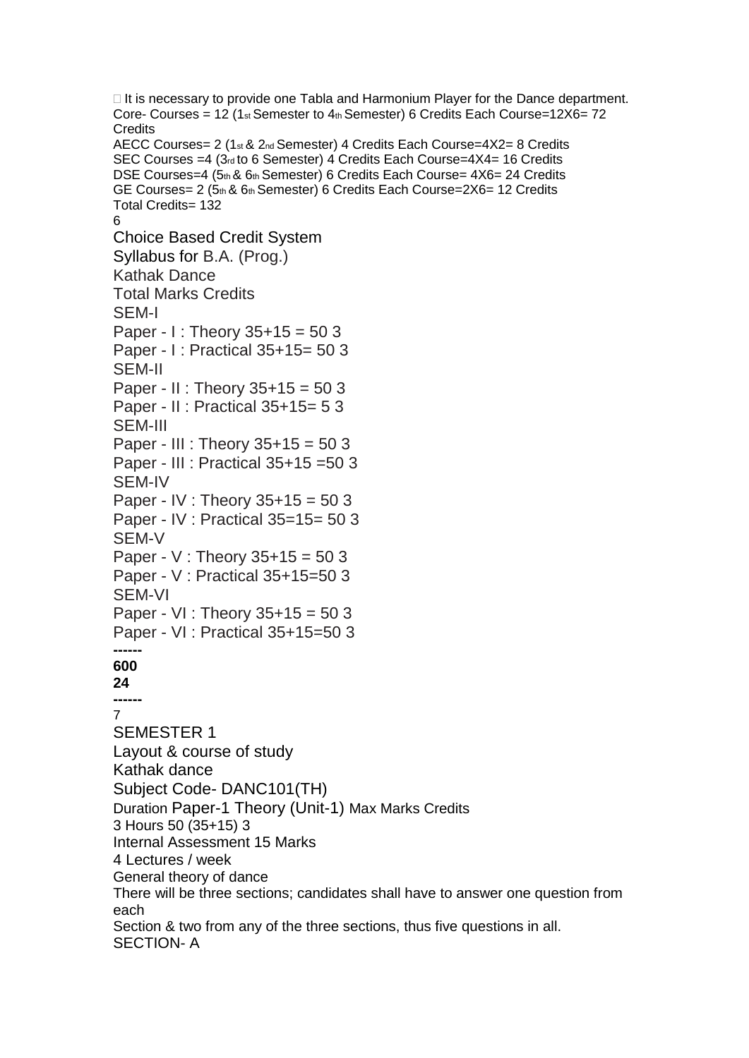$\Box$  It is necessary to provide one Tabla and Harmonium Player for the Dance department. Core- Courses = 12 (1st Semester to  $4<sub>th</sub>$  Semester) 6 Credits Each Course=12X6= 72 **Credits** AECC Courses= 2 (1st & 2nd Semester) 4 Credits Each Course=4X2= 8 Credits SEC Courses = 4 (3rd to 6 Semester) 4 Credits Each Course=4X4= 16 Credits DSE Courses=4 (5th & 6th Semester) 6 Credits Each Course=  $4X6= 24$  Credits GE Courses= 2 (5th & 6th Semester) 6 Credits Each Course=2X6= 12 Credits Total Credits= 132 6 Choice Based Credit System Syllabus for B.A. (Prog.) Kathak Dance Total Marks Credits SEM-I Paper - I : Theory  $35+15 = 503$ Paper - I : Practical 35+15= 50 3 SEM-II Paper - II : Theory 35+15 = 50 3 Paper - II : Practical 35+15= 5 3 SEM-III Paper - III : Theory 35+15 = 50 3 Paper - III : Practical 35+15 =50 3 SEM-IV Paper - IV : Theory 35+15 = 50 3 Paper - IV : Practical 35=15= 50 3 SEM-V Paper - V : Theory 35+15 = 50 3 Paper - V : Practical 35+15=50 3 SEM-VI Paper - VI : Theory 35+15 = 50 3 Paper - VI : Practical 35+15=50 3 **------ 600 24 ------** 7 SEMESTER 1 Layout & course of study Kathak dance Subject Code- DANC101(TH) Duration Paper-1 Theory (Unit-1) Max Marks Credits 3 Hours 50 (35+15) 3 Internal Assessment 15 Marks 4 Lectures / week General theory of dance There will be three sections; candidates shall have to answer one question from each Section & two from any of the three sections, thus five questions in all. SECTION- A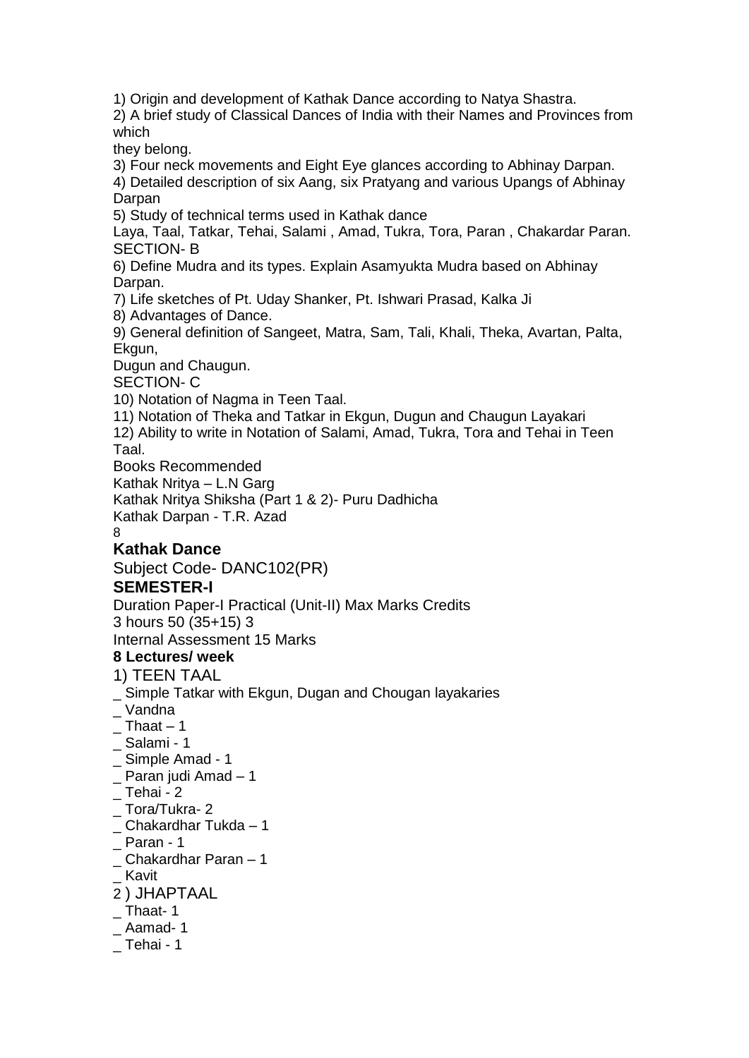1) Origin and development of Kathak Dance according to Natya Shastra. 2) A brief study of Classical Dances of India with their Names and Provinces from which they belong. 3) Four neck movements and Eight Eye glances according to Abhinay Darpan. 4) Detailed description of six Aang, six Pratyang and various Upangs of Abhinay Darpan 5) Study of technical terms used in Kathak dance Laya, Taal, Tatkar, Tehai, Salami , Amad, Tukra, Tora, Paran , Chakardar Paran. SECTION- B 6) Define Mudra and its types. Explain Asamyukta Mudra based on Abhinay Darpan. 7) Life sketches of Pt. Uday Shanker, Pt. Ishwari Prasad, Kalka Ji 8) Advantages of Dance. 9) General definition of Sangeet, Matra, Sam, Tali, Khali, Theka, Avartan, Palta, Ekgun, Dugun and Chaugun. SECTION- C 10) Notation of Nagma in Teen Taal. 11) Notation of Theka and Tatkar in Ekgun, Dugun and Chaugun Layakari 12) Ability to write in Notation of Salami, Amad, Tukra, Tora and Tehai in Teen Taal. Books Recommended Kathak Nritya – L.N Garg Kathak Nritya Shiksha (Part 1 & 2)- Puru Dadhicha Kathak Darpan - T.R. Azad 8 **Kathak Dance** Subject Code- DANC102(PR) **SEMESTER-I** Duration Paper-I Practical (Unit-II) Max Marks Credits 3 hours 50 (35+15) 3 Internal Assessment 15 Marks **8 Lectures/ week** 1) TEEN TAAL \_ Simple Tatkar with Ekgun, Dugan and Chougan layakaries \_ Vandna  $\_$  Thaat  $-1$ \_ Salami - 1 \_ Simple Amad - 1 \_ Paran judi Amad – 1  $\_$  Tehai - 2 \_ Tora/Tukra- 2 \_ Chakardhar Tukda – 1  $\_$  Paran - 1 \_ Chakardhar Paran – 1 \_ Kavit 2 ) JHAPTAAL Thaat- 1  $\_$  Aamad- 1  $\_$  Tehai - 1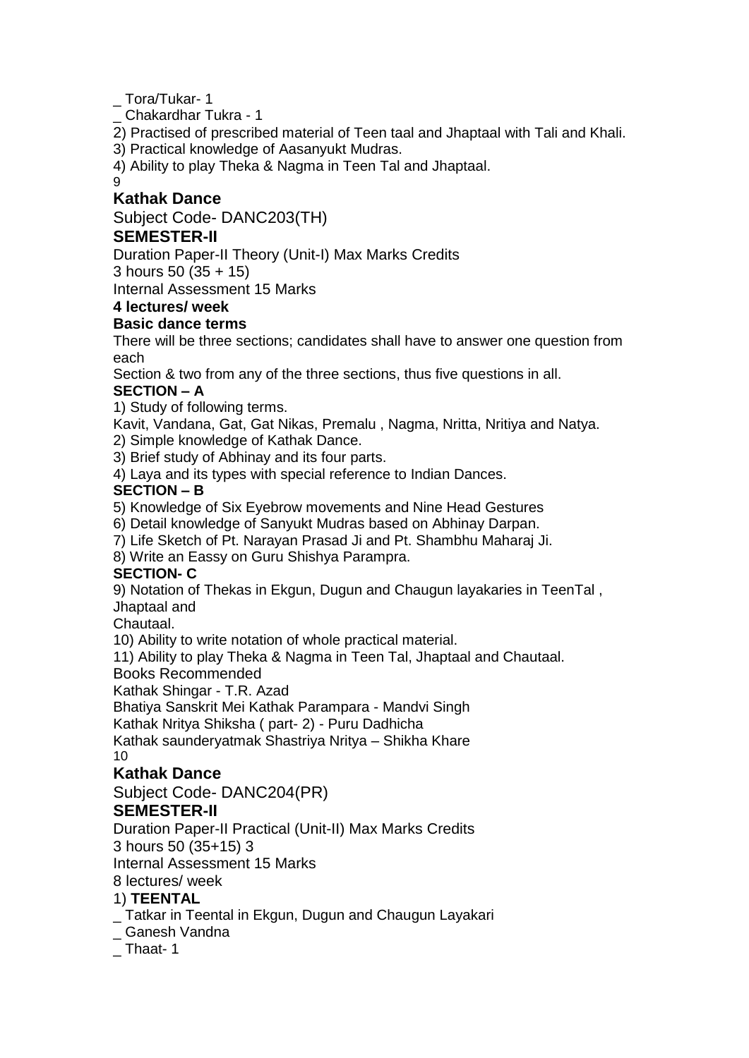\_ Tora/Tukar- 1

\_ Chakardhar Tukra - 1

2) Practised of prescribed material of Teen taal and Jhaptaal with Tali and Khali.

3) Practical knowledge of Aasanyukt Mudras.

4) Ability to play Theka & Nagma in Teen Tal and Jhaptaal.

9

### **Kathak Dance**

Subject Code- DANC203(TH)

### **SEMESTER-II**

Duration Paper-II Theory (Unit-I) Max Marks Credits

3 hours 50 (35 + 15)

Internal Assessment 15 Marks

# **4 lectures/ week**

### **Basic dance terms**

There will be three sections; candidates shall have to answer one question from each

Section & two from any of the three sections, thus five questions in all.

### **SECTION – A**

1) Study of following terms.

Kavit, Vandana, Gat, Gat Nikas, Premalu , Nagma, Nritta, Nritiya and Natya.

2) Simple knowledge of Kathak Dance.

3) Brief study of Abhinay and its four parts.

4) Laya and its types with special reference to Indian Dances.

### **SECTION – B**

5) Knowledge of Six Eyebrow movements and Nine Head Gestures

6) Detail knowledge of Sanyukt Mudras based on Abhinay Darpan.

7) Life Sketch of Pt. Narayan Prasad Ji and Pt. Shambhu Maharaj Ji.

8) Write an Eassy on Guru Shishya Parampra.

### **SECTION- C**

9) Notation of Thekas in Ekgun, Dugun and Chaugun layakaries in TeenTal , Jhaptaal and

Chautaal.

10) Ability to write notation of whole practical material.

11) Ability to play Theka & Nagma in Teen Tal, Jhaptaal and Chautaal.

### Books Recommended

Kathak Shingar - T.R. Azad

Bhatiya Sanskrit Mei Kathak Parampara - Mandvi Singh

Kathak Nritya Shiksha ( part- 2) - Puru Dadhicha

Kathak saunderyatmak Shastriya Nritya – Shikha Khare 10

## **Kathak Dance**

Subject Code- DANC204(PR)

## **SEMESTER-II**

Duration Paper-II Practical (Unit-II) Max Marks Credits

3 hours 50 (35+15) 3

Internal Assessment 15 Marks

8 lectures/ week

## 1) **TEENTAL**

\_ Tatkar in Teental in Ekgun, Dugun and Chaugun Layakari

\_ Ganesh Vandna

Thaat- 1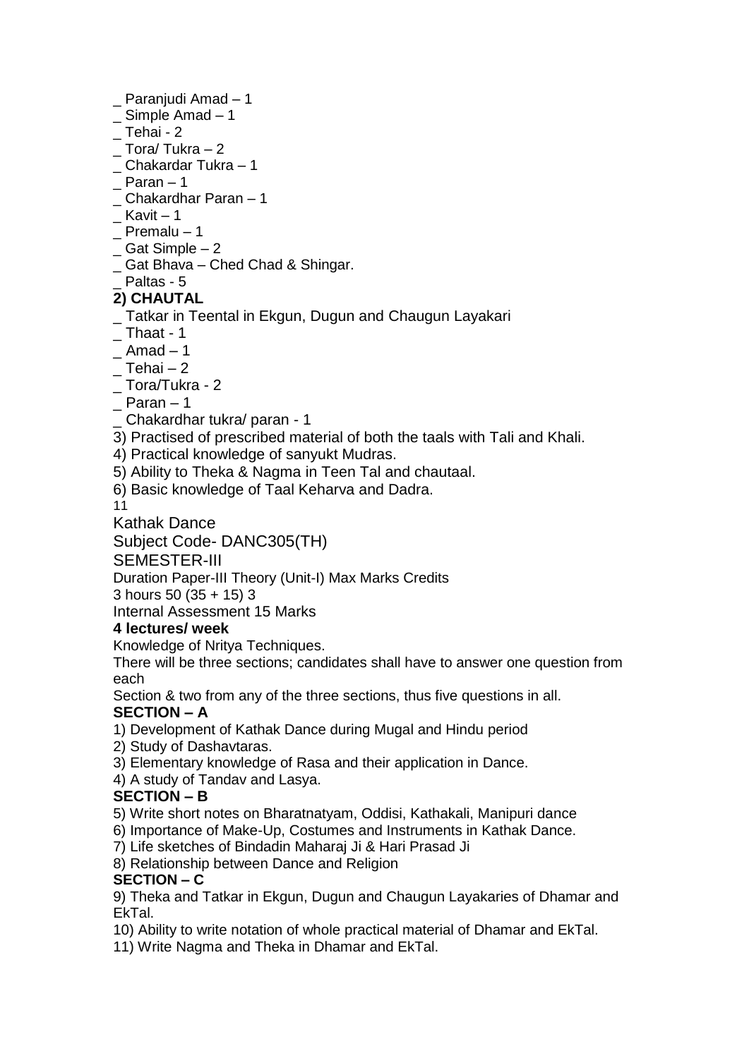### Paranjudi Amad – 1

- $\_$  Simple Amad  $-1$
- $\_$  Tehai 2
- Tora/ Tukra 2
- \_ Chakardar Tukra 1
- $Paran 1$
- \_ Chakardhar Paran 1
- $K$ avit 1
- $P$ remalu 1
- <sub>\_</sub> Gat Simple  $-2$
- \_ Gat Bhava Ched Chad & Shingar.

# Paltas - 5

# **2) CHAUTAL**

- \_ Tatkar in Teental in Ekgun, Dugun and Chaugun Layakari
- $\_$  Thaat 1
- $\_$  Amad  $-1$
- $-$  Tehai 2
- \_ Tora/Tukra 2
- $Paran 1$
- \_ Chakardhar tukra/ paran 1
- 3) Practised of prescribed material of both the taals with Tali and Khali.
- 4) Practical knowledge of sanyukt Mudras.
- 5) Ability to Theka & Nagma in Teen Tal and chautaal.
- 6) Basic knowledge of Taal Keharva and Dadra.
- 11

Kathak Dance

Subject Code- DANC305(TH)

### SEMESTER-III

Duration Paper-III Theory (Unit-I) Max Marks Credits

3 hours 50 (35 + 15) 3

Internal Assessment 15 Marks

## **4 lectures/ week**

Knowledge of Nritya Techniques.

There will be three sections; candidates shall have to answer one question from each

Section & two from any of the three sections, thus five questions in all.

## **SECTION – A**

- 1) Development of Kathak Dance during Mugal and Hindu period
- 2) Study of Dashavtaras.
- 3) Elementary knowledge of Rasa and their application in Dance.
- 4) A study of Tandav and Lasya.

## **SECTION – B**

- 5) Write short notes on Bharatnatyam, Oddisi, Kathakali, Manipuri dance
- 6) Importance of Make-Up, Costumes and Instruments in Kathak Dance.
- 7) Life sketches of Bindadin Maharaj Ji & Hari Prasad Ji
- 8) Relationship between Dance and Religion

## **SECTION – C**

9) Theka and Tatkar in Ekgun, Dugun and Chaugun Layakaries of Dhamar and EkTal.

- 10) Ability to write notation of whole practical material of Dhamar and EkTal.
- 11) Write Nagma and Theka in Dhamar and EkTal.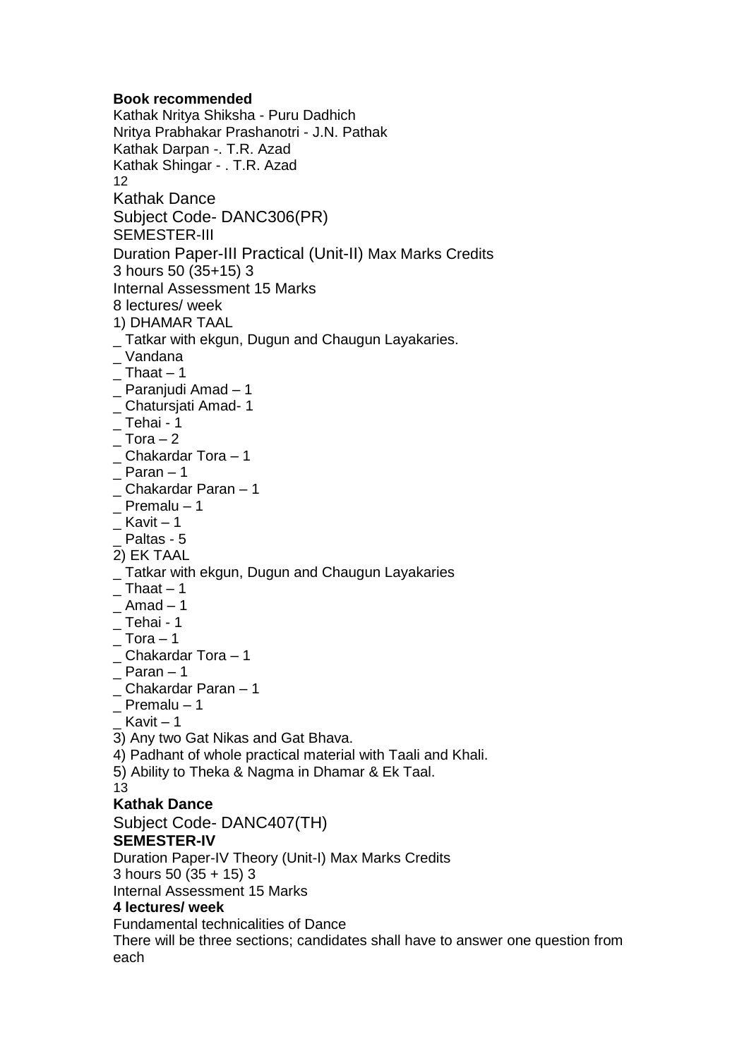#### **Book recommended**

Kathak Nritya Shiksha - Puru Dadhich Nritya Prabhakar Prashanotri - J.N. Pathak Kathak Darpan -. T.R. Azad Kathak Shingar - . T.R. Azad 12 Kathak Dance Subject Code- DANC306(PR) SEMESTER-III Duration Paper-III Practical (Unit-II) Max Marks Credits 3 hours 50 (35+15) 3 Internal Assessment 15 Marks 8 lectures/ week 1) DHAMAR TAAL \_ Tatkar with ekgun, Dugun and Chaugun Layakaries. \_ Vandana  $\_$  Thaat  $-1$ \_ Paranjudi Amad – 1 \_ Chatursjati Amad- 1  $\_$  Tehai - 1  $-$  Tora  $-2$  $\_$  Chakardar Tora  $-1$  $Paran - 1$ \_ Chakardar Paran – 1 Premalu – 1  $K$ avit – 1 Paltas - 5 2) EK TAAL \_ Tatkar with ekgun, Dugun and Chaugun Layakaries Thaat  $-1$  $\_$  Amad  $-1$  $\_$  Tehai - 1  $\_$  Tora  $-1$  $\_$ Chakardar Tora  $-1$ Paran – 1 \_ Chakardar Paran – 1  $\_$  Premalu – 1 Kavit  $-1$ 3) Any two Gat Nikas and Gat Bhava. 4) Padhant of whole practical material with Taali and Khali. 5) Ability to Theka & Nagma in Dhamar & Ek Taal. 13 **Kathak Dance** Subject Code- DANC407(TH) **SEMESTER-IV** Duration Paper-IV Theory (Unit-I) Max Marks Credits 3 hours 50 (35 + 15) 3 Internal Assessment 15 Marks **4 lectures/ week** Fundamental technicalities of Dance There will be three sections; candidates shall have to answer one question from

each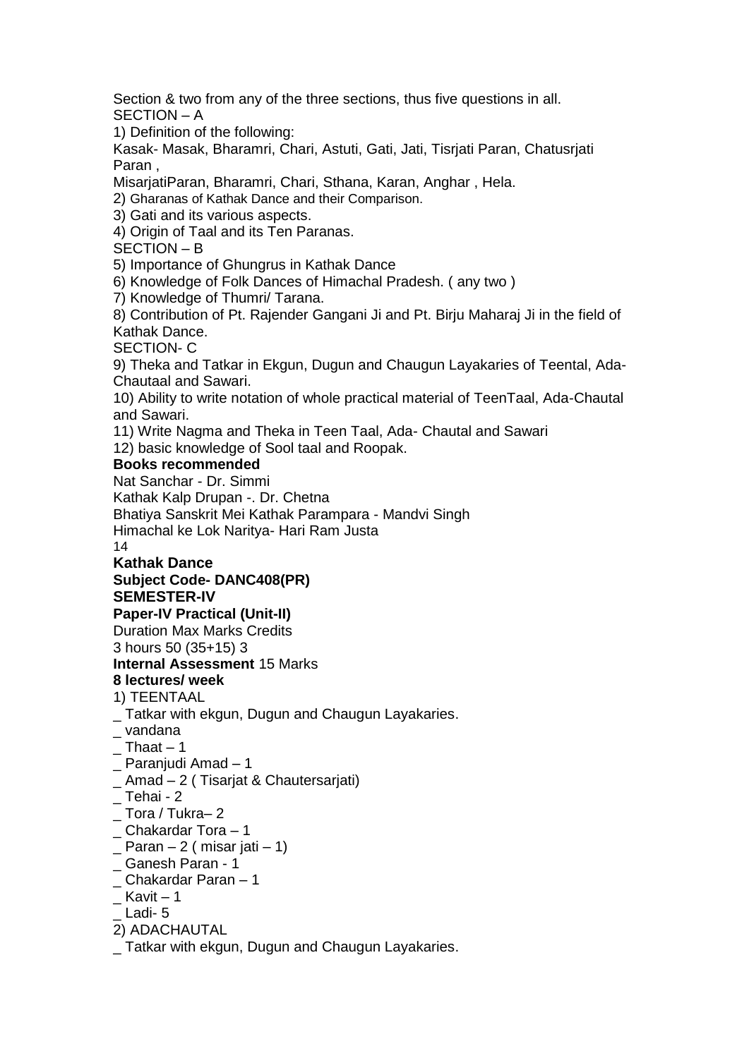Section & two from any of the three sections, thus five questions in all. SECTION – A

1) Definition of the following:

Kasak- Masak, Bharamri, Chari, Astuti, Gati, Jati, Tisrjati Paran, Chatusrjati Paran ,

MisarjatiParan, Bharamri, Chari, Sthana, Karan, Anghar , Hela.

2) Gharanas of Kathak Dance and their Comparison.

3) Gati and its various aspects.

4) Origin of Taal and its Ten Paranas.

SECTION – B

5) Importance of Ghungrus in Kathak Dance

6) Knowledge of Folk Dances of Himachal Pradesh. ( any two )

7) Knowledge of Thumri/ Tarana.

8) Contribution of Pt. Rajender Gangani Ji and Pt. Birju Maharaj Ji in the field of Kathak Dance.

SECTION- C

9) Theka and Tatkar in Ekgun, Dugun and Chaugun Layakaries of Teental, Ada-Chautaal and Sawari.

10) Ability to write notation of whole practical material of TeenTaal, Ada-Chautal and Sawari.

11) Write Nagma and Theka in Teen Taal, Ada- Chautal and Sawari

12) basic knowledge of Sool taal and Roopak.

### **Books recommended**

Nat Sanchar - Dr. Simmi

Kathak Kalp Drupan -. Dr. Chetna

Bhatiya Sanskrit Mei Kathak Parampara - Mandvi Singh

Himachal ke Lok Naritya- Hari Ram Justa

14

# **Kathak Dance**

# **Subject Code- DANC408(PR)**

# **SEMESTER-IV**

**Paper-IV Practical (Unit-II)**

Duration Max Marks Credits

3 hours 50 (35+15) 3

### **Internal Assessment** 15 Marks

**8 lectures/ week**

1) TEENTAAL

- \_ Tatkar with ekgun, Dugun and Chaugun Layakaries.
- \_ vandana
- $\_$  Thaat  $-1$
- Paranjudi Amad 1
- \_ Amad 2 ( Tisarjat & Chautersarjati)
- $\_$  Tehai 2
- \_ Tora / Tukra– 2
- \_ Chakardar Tora 1
- $-$  Paran 2 ( misar jati 1)
- \_ Ganesh Paran 1
- \_ Chakardar Paran 1
- $K$ avit 1
- \_ Ladi- 5

### 2) ADACHAUTAL

Tatkar with ekgun, Dugun and Chaugun Layakaries.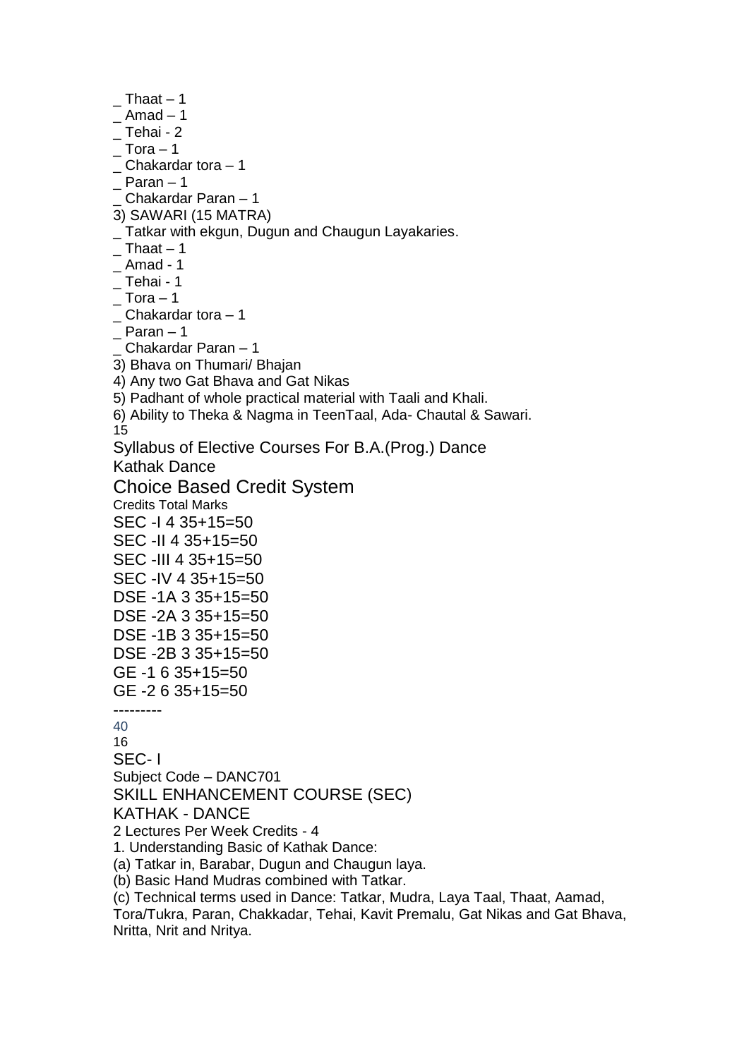$\_$  Thaat  $-1$  $\_$  Amad  $-1$  $\_$  Tehai - 2  $\_$  Tora  $-1$ \_ Chakardar tora – 1  $Paran - 1$ \_ Chakardar Paran – 1 3) SAWARI (15 MATRA) \_ Tatkar with ekgun, Dugun and Chaugun Layakaries.  $\_$  Thaat  $-1$  $\_$  Amad - 1  $\_$  Tehai - 1  $\_$  Tora  $-1$  $\_$  Chakardar tora  $-1$  $Paran - 1$ \_ Chakardar Paran – 1 3) Bhava on Thumari/ Bhajan 4) Any two Gat Bhava and Gat Nikas 5) Padhant of whole practical material with Taali and Khali. 6) Ability to Theka & Nagma in TeenTaal, Ada- Chautal & Sawari. 15 Syllabus of Elective Courses For B.A.(Prog.) Dance Kathak Dance Choice Based Credit System Credits Total Marks SEC -I 4 35+15=50 SEC -II 4 35+15=50 SEC -III 4 35+15=50 SEC -IV 4 35+15=50 DSE -1A 3 35+15=50 DSE -2A 3 35+15=50 DSE -1B 3 35+15=50 DSE -2B 3 35+15=50 GE -1 6 35+15=50 GE -2 6 35+15=50 --------- 40 16 SEC- I Subject Code – DANC701 SKILL ENHANCEMENT COURSE (SEC) KATHAK - DANCE 2 Lectures Per Week Credits - 4 1. Understanding Basic of Kathak Dance: (a) Tatkar in, Barabar, Dugun and Chaugun laya. (b) Basic Hand Mudras combined with Tatkar. (c) Technical terms used in Dance: Tatkar, Mudra, Laya Taal, Thaat, Aamad, Tora/Tukra, Paran, Chakkadar, Tehai, Kavit Premalu, Gat Nikas and Gat Bhava,

Nritta, Nrit and Nritya.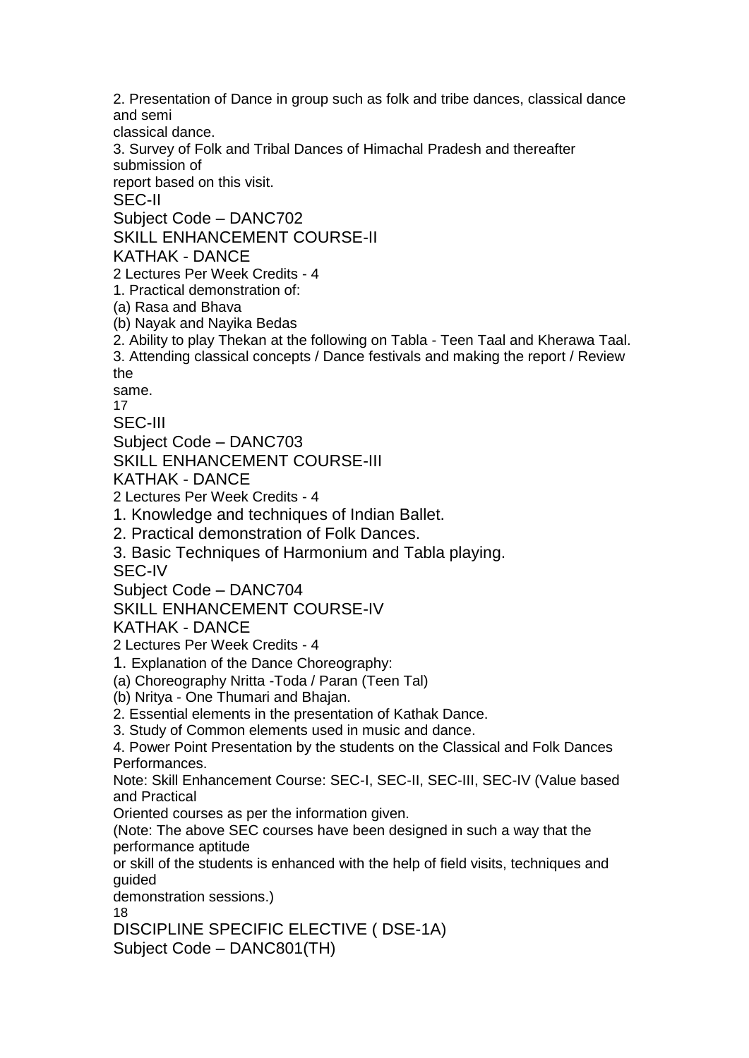2. Presentation of Dance in group such as folk and tribe dances, classical dance and semi

classical dance.

3. Survey of Folk and Tribal Dances of Himachal Pradesh and thereafter submission of

report based on this visit.

SEC-II

Subject Code – DANC702

SKILL ENHANCEMENT COURSE-II

KATHAK - DANCE

2 Lectures Per Week Credits - 4

1. Practical demonstration of:

(a) Rasa and Bhava

(b) Nayak and Nayika Bedas

2. Ability to play Thekan at the following on Tabla - Teen Taal and Kherawa Taal.

3. Attending classical concepts / Dance festivals and making the report / Review the

same.

17

SEC-III

Subject Code – DANC703

SKILL ENHANCEMENT COURSE-III

KATHAK - DANCE

2 Lectures Per Week Credits - 4

1. Knowledge and techniques of Indian Ballet.

2. Practical demonstration of Folk Dances.

3. Basic Techniques of Harmonium and Tabla playing.

SEC-IV

Subject Code – DANC704

SKILL ENHANCEMENT COURSE-IV

KATHAK - DANCE

2 Lectures Per Week Credits - 4

1. Explanation of the Dance Choreography:

(a) Choreography Nritta -Toda / Paran (Teen Tal)

(b) Nritya - One Thumari and Bhajan.

2. Essential elements in the presentation of Kathak Dance.

3. Study of Common elements used in music and dance.

4. Power Point Presentation by the students on the Classical and Folk Dances Performances.

Note: Skill Enhancement Course: SEC-I, SEC-II, SEC-III, SEC-IV (Value based and Practical

Oriented courses as per the information given.

(Note: The above SEC courses have been designed in such a way that the performance aptitude

or skill of the students is enhanced with the help of field visits, techniques and guided

demonstration sessions.)

18

DISCIPLINE SPECIFIC ELECTIVE ( DSE-1A) Subject Code – DANC801(TH)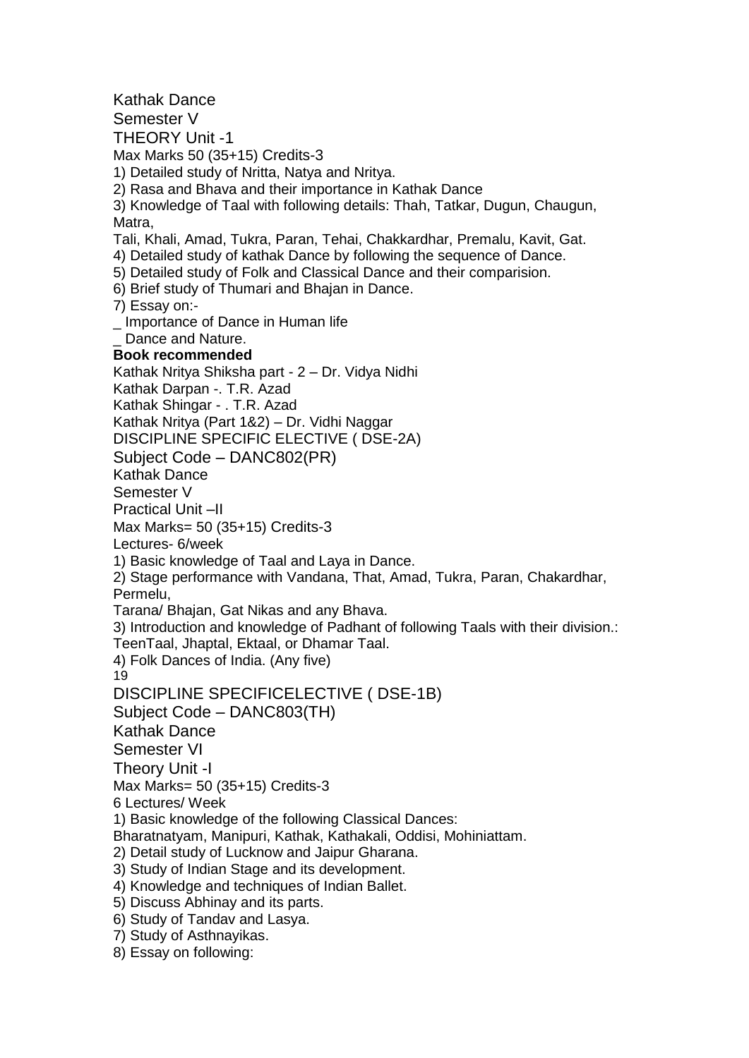Kathak Dance Semester V THEORY Unit -1 Max Marks 50 (35+15) Credits-3 1) Detailed study of Nritta, Natya and Nritya. 2) Rasa and Bhava and their importance in Kathak Dance 3) Knowledge of Taal with following details: Thah, Tatkar, Dugun, Chaugun, Matra, Tali, Khali, Amad, Tukra, Paran, Tehai, Chakkardhar, Premalu, Kavit, Gat. 4) Detailed study of kathak Dance by following the sequence of Dance. 5) Detailed study of Folk and Classical Dance and their comparision. 6) Brief study of Thumari and Bhajan in Dance. 7) Essay on:- \_ Importance of Dance in Human life Dance and Nature. **Book recommended** Kathak Nritya Shiksha part - 2 – Dr. Vidya Nidhi Kathak Darpan -. T.R. Azad Kathak Shingar - . T.R. Azad Kathak Nritya (Part 1&2) – Dr. Vidhi Naggar DISCIPLINE SPECIFIC ELECTIVE ( DSE-2A) Subject Code – DANC802(PR) Kathak Dance Semester V Practical Unit –II Max Marks= 50 (35+15) Credits-3 Lectures- 6/week 1) Basic knowledge of Taal and Laya in Dance. 2) Stage performance with Vandana, That, Amad, Tukra, Paran, Chakardhar, Permelu, Tarana/ Bhajan, Gat Nikas and any Bhava. 3) Introduction and knowledge of Padhant of following Taals with their division.: TeenTaal, Jhaptal, Ektaal, or Dhamar Taal. 4) Folk Dances of India. (Any five) 19 DISCIPLINE SPECIFICELECTIVE ( DSE-1B) Subject Code – DANC803(TH) Kathak Dance Semester VI Theory Unit -I Max Marks= 50 (35+15) Credits-3 6 Lectures/ Week 1) Basic knowledge of the following Classical Dances: Bharatnatyam, Manipuri, Kathak, Kathakali, Oddisi, Mohiniattam. 2) Detail study of Lucknow and Jaipur Gharana. 3) Study of Indian Stage and its development. 4) Knowledge and techniques of Indian Ballet. 5) Discuss Abhinay and its parts. 6) Study of Tandav and Lasya. 7) Study of Asthnayikas. 8) Essay on following: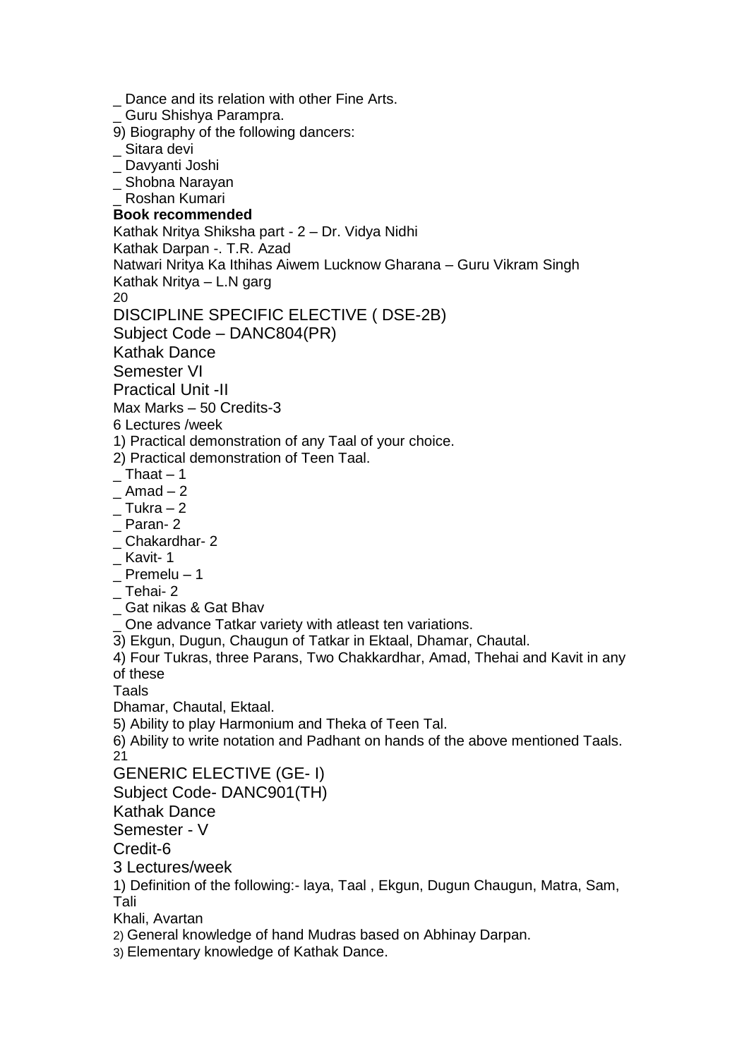Dance and its relation with other Fine Arts. \_ Guru Shishya Parampra. 9) Biography of the following dancers: \_ Sitara devi \_ Davyanti Joshi \_ Shobna Narayan \_ Roshan Kumari **Book recommended** Kathak Nritya Shiksha part - 2 – Dr. Vidya Nidhi Kathak Darpan -. T.R. Azad Natwari Nritya Ka Ithihas Aiwem Lucknow Gharana – Guru Vikram Singh Kathak Nritya – L.N garg 20 DISCIPLINE SPECIFIC ELECTIVE ( DSE-2B) Subject Code – DANC804(PR) Kathak Dance Semester VI Practical Unit -II Max Marks – 50 Credits-3 6 Lectures /week 1) Practical demonstration of any Taal of your choice. 2) Practical demonstration of Teen Taal.  $\_$  Thaat  $-1$  $\_$  Amad  $-2$  $\_$  Tukra  $-2$ Paran- 2 \_ Chakardhar- 2 \_ Kavit- 1 Premelu – 1  $\_$  Tehai- 2 \_ Gat nikas & Gat Bhav One advance Tatkar variety with atleast ten variations. 3) Ekgun, Dugun, Chaugun of Tatkar in Ektaal, Dhamar, Chautal. 4) Four Tukras, three Parans, Two Chakkardhar, Amad, Thehai and Kavit in any of these Taals Dhamar, Chautal, Ektaal. 5) Ability to play Harmonium and Theka of Teen Tal. 6) Ability to write notation and Padhant on hands of the above mentioned Taals. 21 GENERIC ELECTIVE (GE- I) Subject Code- DANC901(TH) Kathak Dance Semester - V Credit-6 3 Lectures/week 1) Definition of the following:- laya, Taal , Ekgun, Dugun Chaugun, Matra, Sam, Tali Khali, Avartan 2) General knowledge of hand Mudras based on Abhinay Darpan. 3) Elementary knowledge of Kathak Dance.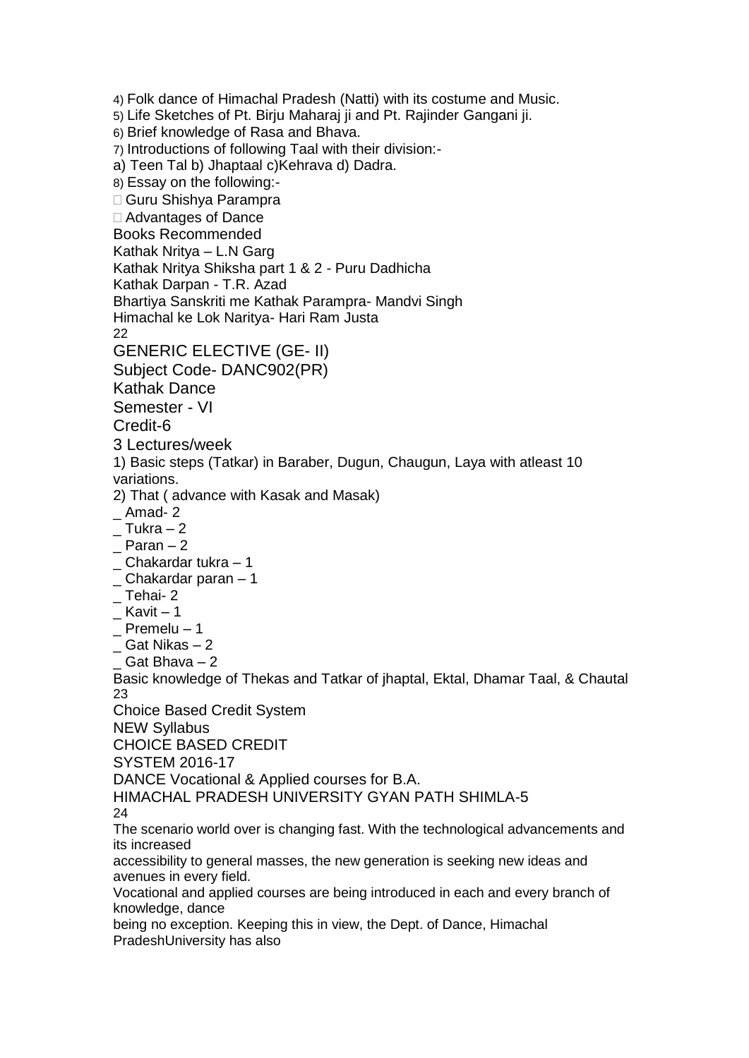4) Folk dance of Himachal Pradesh (Natti) with its costume and Music. 5) Life Sketches of Pt. Birju Maharaj ji and Pt. Rajinder Gangani ji. 6) Brief knowledge of Rasa and Bhava. 7) Introductions of following Taal with their division: a) Teen Tal b) Jhaptaal c)Kehrava d) Dadra. 8) Essay on the following:- Guru Shishya Parampra Advantages of Dance Books Recommended Kathak Nritya – L.N Garg Kathak Nritya Shiksha part 1 & 2 - Puru Dadhicha Kathak Darpan - T.R. Azad Bhartiya Sanskriti me Kathak Parampra- Mandvi Singh Himachal ke Lok Naritya- Hari Ram Justa 22 GENERIC ELECTIVE (GE- II) Subject Code- DANC902(PR) Kathak Dance Semester - VI Credit-6 3 Lectures/week 1) Basic steps (Tatkar) in Baraber, Dugun, Chaugun, Laya with atleast 10 variations. 2) That ( advance with Kasak and Masak)  $\_$  Amad- 2  $\_$  Tukra  $-2$ \_ Paran – 2  $\_$  Chakardar tukra  $-1$  $\_$  Chakardar paran  $-1$ \_ Tehai- 2  $K$ avit – 1  $\_$  Premelu – 1 <sub> $-$ </sub> Gat Nikas  $-2$ \_ Gat Bhava – 2 Basic knowledge of Thekas and Tatkar of jhaptal, Ektal, Dhamar Taal, & Chautal 23 Choice Based Credit System NEW Syllabus CHOICE BASED CREDIT SYSTEM 2016-17 DANCE Vocational & Applied courses for B.A. HIMACHAL PRADESH UNIVERSITY GYAN PATH SHIMLA-5 24 The scenario world over is changing fast. With the technological advancements and its increased accessibility to general masses, the new generation is seeking new ideas and avenues in every field. Vocational and applied courses are being introduced in each and every branch of knowledge, dance being no exception. Keeping this in view, the Dept. of Dance, Himachal PradeshUniversity has also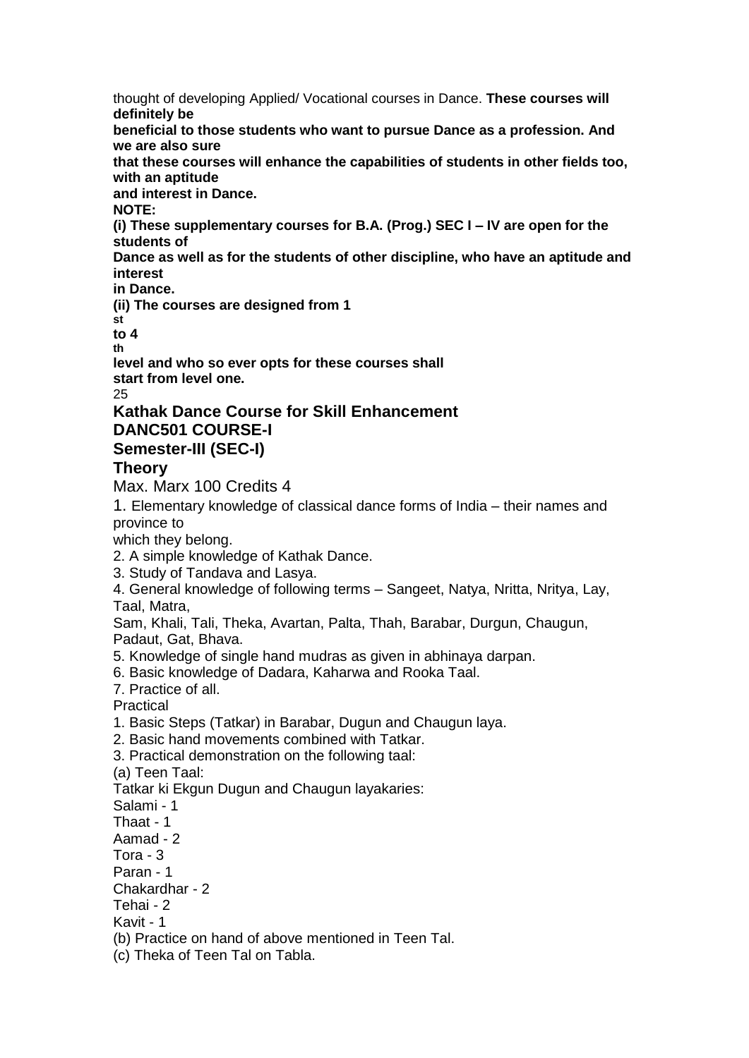thought of developing Applied/ Vocational courses in Dance. **These courses will definitely be beneficial to those students who want to pursue Dance as a profession. And we are also sure that these courses will enhance the capabilities of students in other fields too, with an aptitude and interest in Dance. NOTE: (i) These supplementary courses for B.A. (Prog.) SEC I – IV are open for the students of Dance as well as for the students of other discipline, who have an aptitude and interest in Dance. (ii) The courses are designed from 1 st to 4 th**

**level and who so ever opts for these courses shall start from level one.**  $25$ 

### **Kathak Dance Course for Skill Enhancement DANC501 COURSE-I Semester-III (SEC-I)**

### **Theory**

Max. Marx 100 Credits 4

1. Elementary knowledge of classical dance forms of India – their names and province to

which they belong.

- 2. A simple knowledge of Kathak Dance.
- 3. Study of Tandava and Lasya.
- 4. General knowledge of following terms Sangeet, Natya, Nritta, Nritya, Lay, Taal, Matra,

Sam, Khali, Tali, Theka, Avartan, Palta, Thah, Barabar, Durgun, Chaugun, Padaut, Gat, Bhava.

- 5. Knowledge of single hand mudras as given in abhinaya darpan.
- 6. Basic knowledge of Dadara, Kaharwa and Rooka Taal.
- 7. Practice of all.

Practical

- 1. Basic Steps (Tatkar) in Barabar, Dugun and Chaugun laya.
- 2. Basic hand movements combined with Tatkar.
- 3. Practical demonstration on the following taal:

(a) Teen Taal:

Tatkar ki Ekgun Dugun and Chaugun layakaries:

Salami - 1

Thaat - 1

Aamad - 2

Tora - 3

Paran - 1

Chakardhar - 2

Tehai - 2

Kavit - 1

(b) Practice on hand of above mentioned in Teen Tal.

(c) Theka of Teen Tal on Tabla.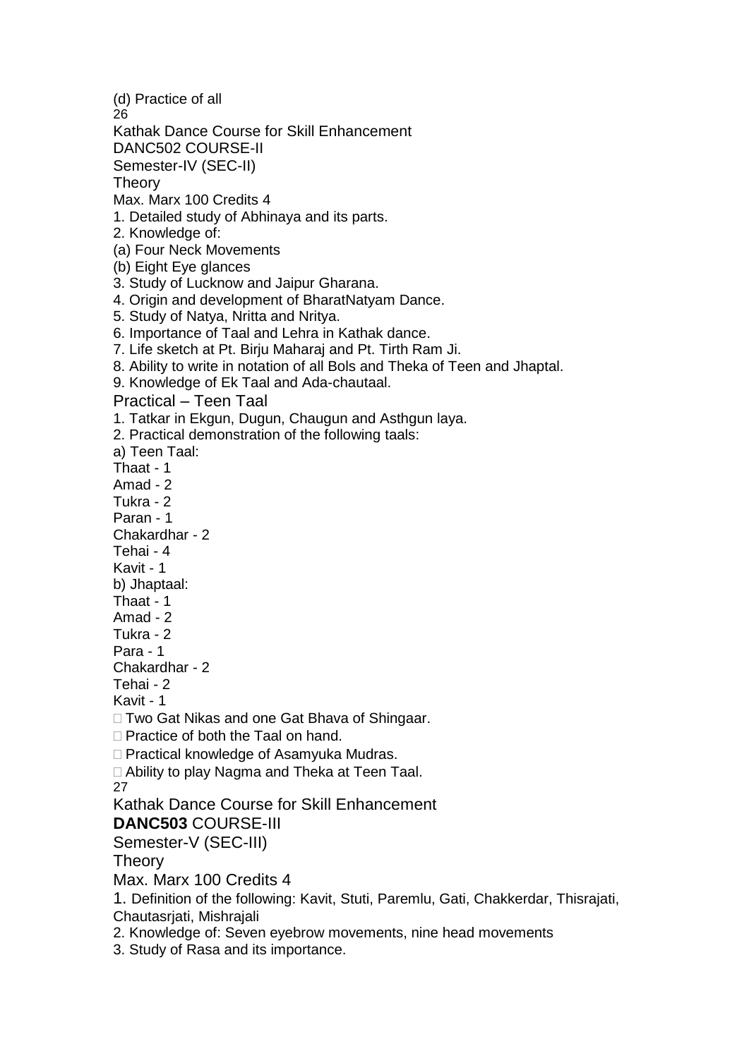(d) Practice of all 26 Kathak Dance Course for Skill Enhancement DANC502 COURSE-II Semester-IV (SEC-II) **Theory** Max. Marx 100 Credits 4 1. Detailed study of Abhinaya and its parts. 2. Knowledge of: (a) Four Neck Movements (b) Eight Eye glances 3. Study of Lucknow and Jaipur Gharana. 4. Origin and development of BharatNatyam Dance. 5. Study of Natya, Nritta and Nritya. 6. Importance of Taal and Lehra in Kathak dance. 7. Life sketch at Pt. Birju Maharaj and Pt. Tirth Ram Ji. 8. Ability to write in notation of all Bols and Theka of Teen and Jhaptal. 9. Knowledge of Ek Taal and Ada-chautaal. Practical – Teen Taal 1. Tatkar in Ekgun, Dugun, Chaugun and Asthgun laya. 2. Practical demonstration of the following taals: a) Teen Taal: Thaat - 1 Amad - 2 Tukra - 2 Paran - 1 Chakardhar - 2 Tehai - 4 Kavit - 1 b) Jhaptaal: Thaat - 1 Amad - 2 Tukra - 2 Para - 1 Chakardhar - 2 Tehai - 2 Kavit - 1 □ Two Gat Nikas and one Gat Bhava of Shingaar.  $\Box$  Practice of both the Taal on hand. □ Practical knowledge of Asamyuka Mudras. □ Ability to play Nagma and Theka at Teen Taal. 27 Kathak Dance Course for Skill Enhancement **DANC503** COURSE-III Semester-V (SEC-III) **Theory** Max. Marx 100 Credits 4 1. Definition of the following: Kavit, Stuti, Paremlu, Gati, Chakkerdar, Thisrajati, Chautasriati, Mishraiali 2. Knowledge of: Seven eyebrow movements, nine head movements 3. Study of Rasa and its importance.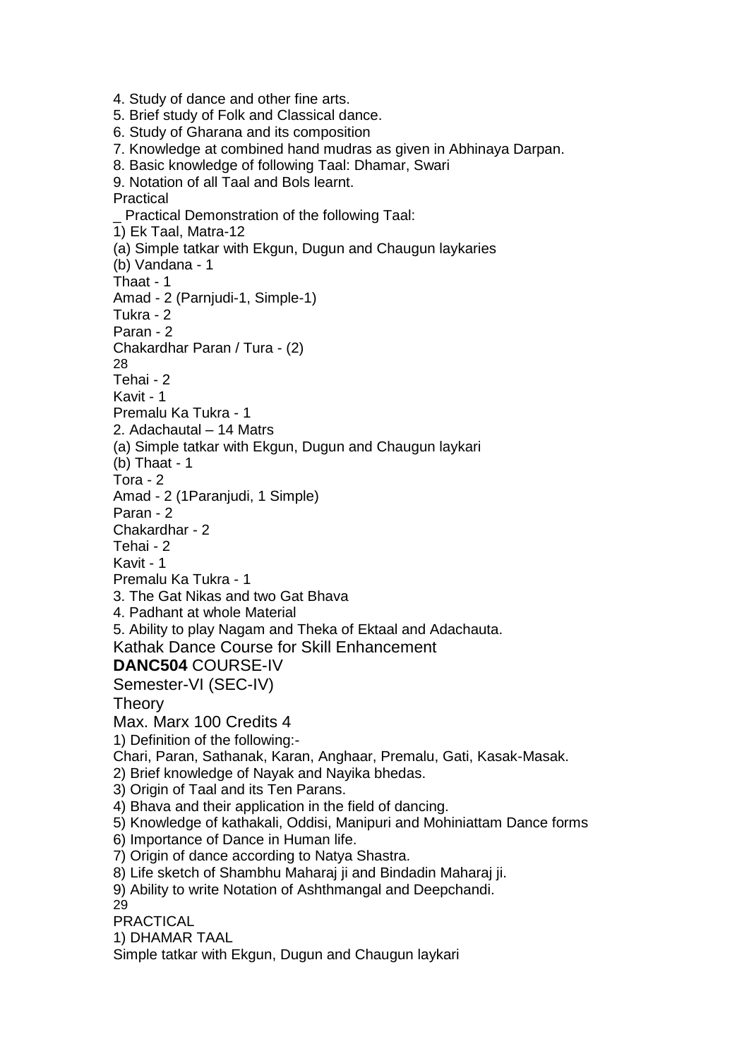4. Study of dance and other fine arts. 5. Brief study of Folk and Classical dance. 6. Study of Gharana and its composition 7. Knowledge at combined hand mudras as given in Abhinaya Darpan. 8. Basic knowledge of following Taal: Dhamar, Swari 9. Notation of all Taal and Bols learnt. Practical \_ Practical Demonstration of the following Taal: 1) Ek Taal, Matra-12 (a) Simple tatkar with Ekgun, Dugun and Chaugun laykaries (b) Vandana - 1 Thaat - 1 Amad - 2 (Parnjudi-1, Simple-1) Tukra - 2 Paran - 2 Chakardhar Paran / Tura - (2) 28 Tehai - 2 Kavit - 1 Premalu Ka Tukra - 1 2. Adachautal – 14 Matrs (a) Simple tatkar with Ekgun, Dugun and Chaugun laykari (b) Thaat - 1 Tora - 2 Amad - 2 (1Paranjudi, 1 Simple) Paran - 2 Chakardhar - 2 Tehai - 2 Kavit - 1 Premalu Ka Tukra - 1 3. The Gat Nikas and two Gat Bhava 4. Padhant at whole Material 5. Ability to play Nagam and Theka of Ektaal and Adachauta. Kathak Dance Course for Skill Enhancement **DANC504** COURSE-IV Semester-VI (SEC-IV) **Theory** Max. Marx 100 Credits 4 1) Definition of the following:- Chari, Paran, Sathanak, Karan, Anghaar, Premalu, Gati, Kasak-Masak. 2) Brief knowledge of Nayak and Nayika bhedas. 3) Origin of Taal and its Ten Parans. 4) Bhava and their application in the field of dancing. 5) Knowledge of kathakali, Oddisi, Manipuri and Mohiniattam Dance forms 6) Importance of Dance in Human life. 7) Origin of dance according to Natya Shastra. 8) Life sketch of Shambhu Maharaj ji and Bindadin Maharaj ji. 9) Ability to write Notation of Ashthmangal and Deepchandi. 29 PRACTICAL 1) DHAMAR TAAL Simple tatkar with Ekgun, Dugun and Chaugun laykari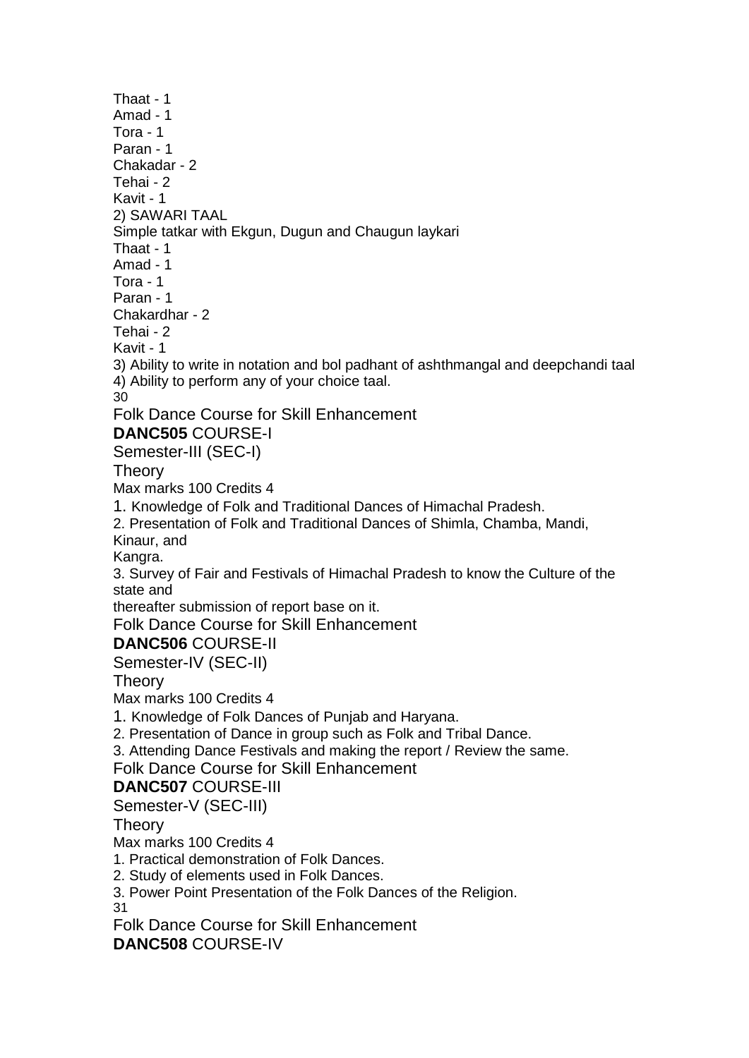Thaat - 1 Amad - 1 Tora - 1 Paran - 1 Chakadar - 2 Tehai - 2 Kavit - 1 2) SAWARI TAAL Simple tatkar with Ekgun, Dugun and Chaugun laykari Thaat - 1 Amad - 1 Tora - 1 Paran - 1 Chakardhar - 2 Tehai - 2 Kavit - 1 3) Ability to write in notation and bol padhant of ashthmangal and deepchandi taal 4) Ability to perform any of your choice taal. 30 Folk Dance Course for Skill Enhancement **DANC505** COURSE-I Semester-III (SEC-I) **Theory** Max marks 100 Credits 4 1. Knowledge of Folk and Traditional Dances of Himachal Pradesh. 2. Presentation of Folk and Traditional Dances of Shimla, Chamba, Mandi, Kinaur, and Kangra. 3. Survey of Fair and Festivals of Himachal Pradesh to know the Culture of the state and thereafter submission of report base on it. Folk Dance Course for Skill Enhancement **DANC506** COURSE-II Semester-IV (SEC-II) **Theory** Max marks 100 Credits 4 1. Knowledge of Folk Dances of Punjab and Haryana. 2. Presentation of Dance in group such as Folk and Tribal Dance. 3. Attending Dance Festivals and making the report / Review the same. Folk Dance Course for Skill Enhancement **DANC507** COURSE-III Semester-V (SEC-III) **Theory** Max marks 100 Credits 4 1. Practical demonstration of Folk Dances. 2. Study of elements used in Folk Dances. 3. Power Point Presentation of the Folk Dances of the Religion. 31 Folk Dance Course for Skill Enhancement **DANC508** COURSE-IV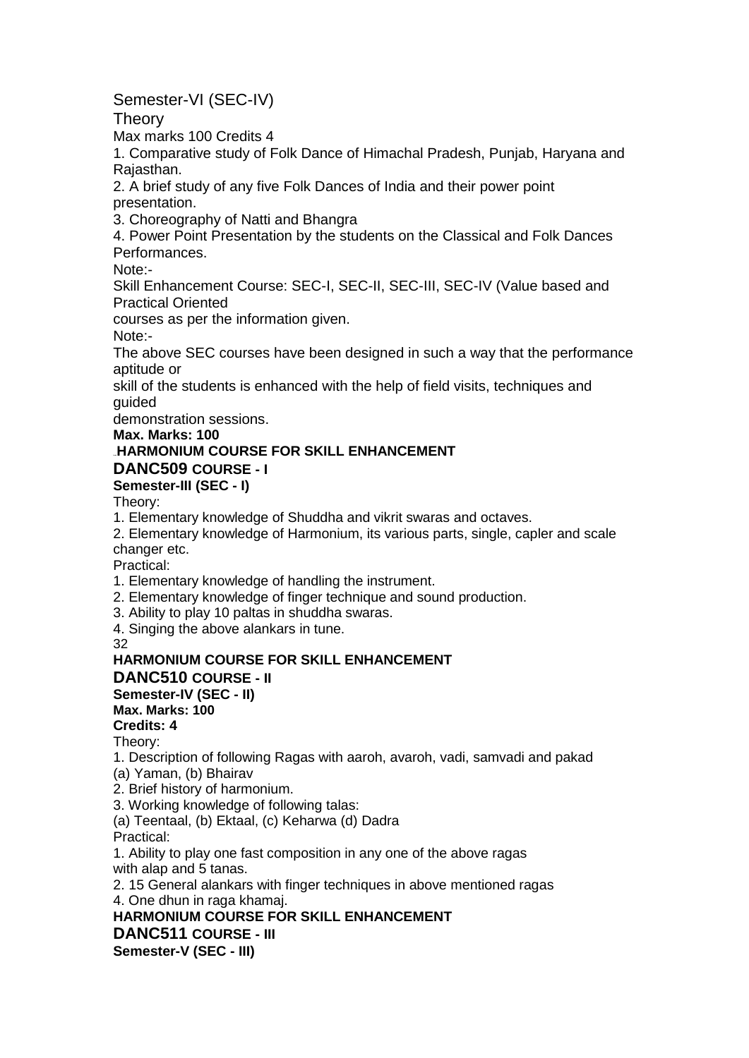# Semester-VI (SEC-IV)

**Theory** 

Max marks 100 Credits 4

1. Comparative study of Folk Dance of Himachal Pradesh, Punjab, Haryana and Rajasthan.

2. A brief study of any five Folk Dances of India and their power point presentation.

3. Choreography of Natti and Bhangra

4. Power Point Presentation by the students on the Classical and Folk Dances Performances.

Note:-

Skill Enhancement Course: SEC-I, SEC-II, SEC-III, SEC-IV (Value based and Practical Oriented

courses as per the information given.

Note:-

The above SEC courses have been designed in such a way that the performance aptitude or

skill of the students is enhanced with the help of field visits, techniques and guided

demonstration sessions.

**Max. Marks: 100**

# **HARMONIUM COURSE FOR SKILL ENHANCEMENT**

### **DANC509 COURSE - I**

### **Semester-III (SEC - I)**

Theory:

1. Elementary knowledge of Shuddha and vikrit swaras and octaves.

2. Elementary knowledge of Harmonium, its various parts, single, capler and scale changer etc.

Practical:

1. Elementary knowledge of handling the instrument.

2. Elementary knowledge of finger technique and sound production.

3. Ability to play 10 paltas in shuddha swaras.

4. Singing the above alankars in tune.

32

## **HARMONIUM COURSE FOR SKILL ENHANCEMENT**

**DANC510 COURSE - II**

# **Semester-IV (SEC - II)**

# **Max. Marks: 100**

**Credits: 4**

Theory:

1. Description of following Ragas with aaroh, avaroh, vadi, samvadi and pakad (a) Yaman, (b) Bhairav

2. Brief history of harmonium.

3. Working knowledge of following talas:

(a) Teentaal, (b) Ektaal, (c) Keharwa (d) Dadra

Practical:

1. Ability to play one fast composition in any one of the above ragas with alap and 5 tanas.

2. 15 General alankars with finger techniques in above mentioned ragas

4. One dhun in raga khamaj.

**HARMONIUM COURSE FOR SKILL ENHANCEMENT**

**DANC511 COURSE - III**

**Semester-V (SEC - III)**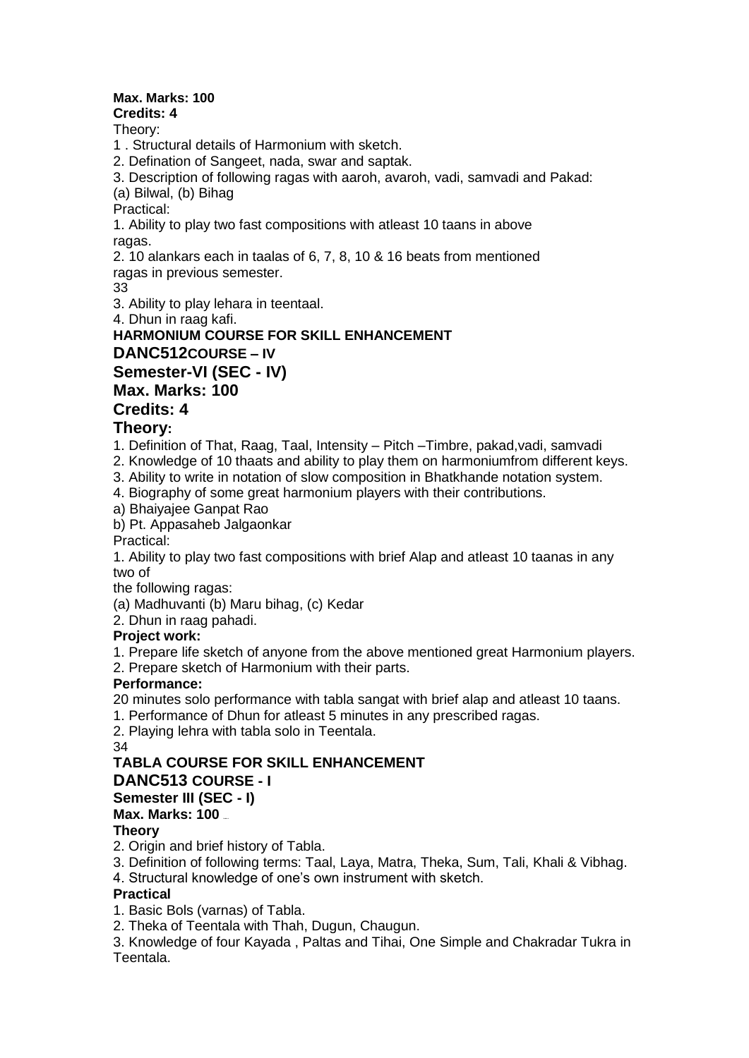# **Max. Marks: 100**

**Credits: 4**

Theory:

1 . Structural details of Harmonium with sketch.

2. Defination of Sangeet, nada, swar and saptak.

3. Description of following ragas with aaroh, avaroh, vadi, samvadi and Pakad:

(a) Bilwal, (b) Bihag

Practical:

1. Ability to play two fast compositions with atleast 10 taans in above ragas.

2. 10 alankars each in taalas of 6, 7, 8, 10 & 16 beats from mentioned ragas in previous semester.

33

3. Ability to play lehara in teentaal.

4. Dhun in raag kafi.

**HARMONIUM COURSE FOR SKILL ENHANCEMENT DANC512COURSE – IV Semester-VI (SEC - IV) Max. Marks: 100**

# **Credits: 4**

# **Theory:**

1. Definition of That, Raag, Taal, Intensity – Pitch –Timbre, pakad,vadi, samvadi

2. Knowledge of 10 thaats and ability to play them on harmoniumfrom different keys.

3. Ability to write in notation of slow composition in Bhatkhande notation system.

4. Biography of some great harmonium players with their contributions.

a) Bhaiyajee Ganpat Rao

b) Pt. Appasaheb Jalgaonkar

Practical:

1. Ability to play two fast compositions with brief Alap and atleast 10 taanas in any two of

the following ragas:

(a) Madhuvanti (b) Maru bihag, (c) Kedar

2. Dhun in raag pahadi.

## **Project work:**

1. Prepare life sketch of anyone from the above mentioned great Harmonium players.

2. Prepare sketch of Harmonium with their parts.

## **Performance:**

20 minutes solo performance with tabla sangat with brief alap and atleast 10 taans.

1. Performance of Dhun for atleast 5 minutes in any prescribed ragas.

2. Playing lehra with tabla solo in Teentala.

34

# **TABLA COURSE FOR SKILL ENHANCEMENT**

## **DANC513 COURSE - I**

### **Semester III (SEC - I)**

**Max. Marks: 100** 

## **Theory**

2. Origin and brief history of Tabla.

3. Definition of following terms: Taal, Laya, Matra, Theka, Sum, Tali, Khali & Vibhag.

4. Structural knowledge of one's own instrument with sketch.

## **Practical**

1. Basic Bols (varnas) of Tabla.

2. Theka of Teentala with Thah, Dugun, Chaugun.

3. Knowledge of four Kayada , Paltas and Tihai, One Simple and Chakradar Tukra in Teentala.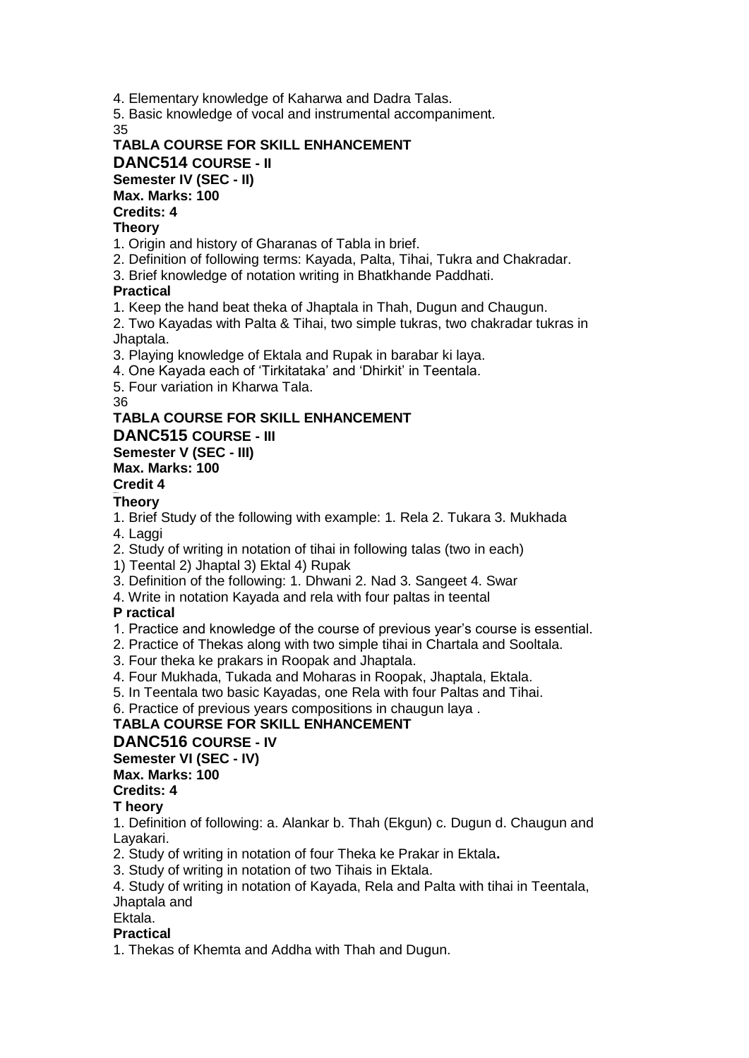4. Elementary knowledge of Kaharwa and Dadra Talas.

5. Basic knowledge of vocal and instrumental accompaniment. 35

#### **TABLA COURSE FOR SKILL ENHANCEMENT DANC514 COURSE - II Semester IV (SEC - II) Max. Marks: 100 Credits: 4**

#### **Theory**

1. Origin and history of Gharanas of Tabla in brief.

- 2. Definition of following terms: Kayada, Palta, Tihai, Tukra and Chakradar.
- 3. Brief knowledge of notation writing in Bhatkhande Paddhati.

#### **Practical**

1. Keep the hand beat theka of Jhaptala in Thah, Dugun and Chaugun.

2. Two Kayadas with Palta & Tihai, two simple tukras, two chakradar tukras in Jhaptala.

3. Playing knowledge of Ektala and Rupak in barabar ki laya.

4. One Kayada each of 'Tirkitataka' and 'Dhirkit' in Teentala.

5. Four variation in Kharwa Tala.

36

#### **TABLA COURSE FOR SKILL ENHANCEMENT**

**DANC515 COURSE - III**

#### **Semester V (SEC - III)**

### **Max. Marks: 100**

**Credit 4 Credit s: 4**

#### **Theory**

1. Brief Study of the following with example: 1. Rela 2. Tukara 3. Mukhada

4. Laggi

2. Study of writing in notation of tihai in following talas (two in each)

1) Teental 2) Jhaptal 3) Ektal 4) Rupak

3. Definition of the following: 1. Dhwani 2. Nad 3. Sangeet 4. Swar

4. Write in notation Kayada and rela with four paltas in teental

### **P ractical**

- 1. Practice and knowledge of the course of previous year's course is essential.
- 2. Practice of Thekas along with two simple tihai in Chartala and Sooltala.
- 3. Four theka ke prakars in Roopak and Jhaptala.
- 4. Four Mukhada, Tukada and Moharas in Roopak, Jhaptala, Ektala.
- 5. In Teentala two basic Kayadas, one Rela with four Paltas and Tihai.

6. Practice of previous years compositions in chaugun laya .

### **TABLA COURSE FOR SKILL ENHANCEMENT**

### **DANC516 COURSE - IV**

# **Semester VI (SEC - IV)**

**Max. Marks: 100**

# **Credits: 4**

### **T heory**

1. Definition of following: a. Alankar b. Thah (Ekgun) c. Dugun d. Chaugun and Layakari.

2. Study of writing in notation of four Theka ke Prakar in Ektala**.**

3. Study of writing in notation of two Tihais in Ektala.

4. Study of writing in notation of Kayada, Rela and Palta with tihai in Teentala, Jhaptala and

Ektala.

#### **Practical**

1. Thekas of Khemta and Addha with Thah and Dugun.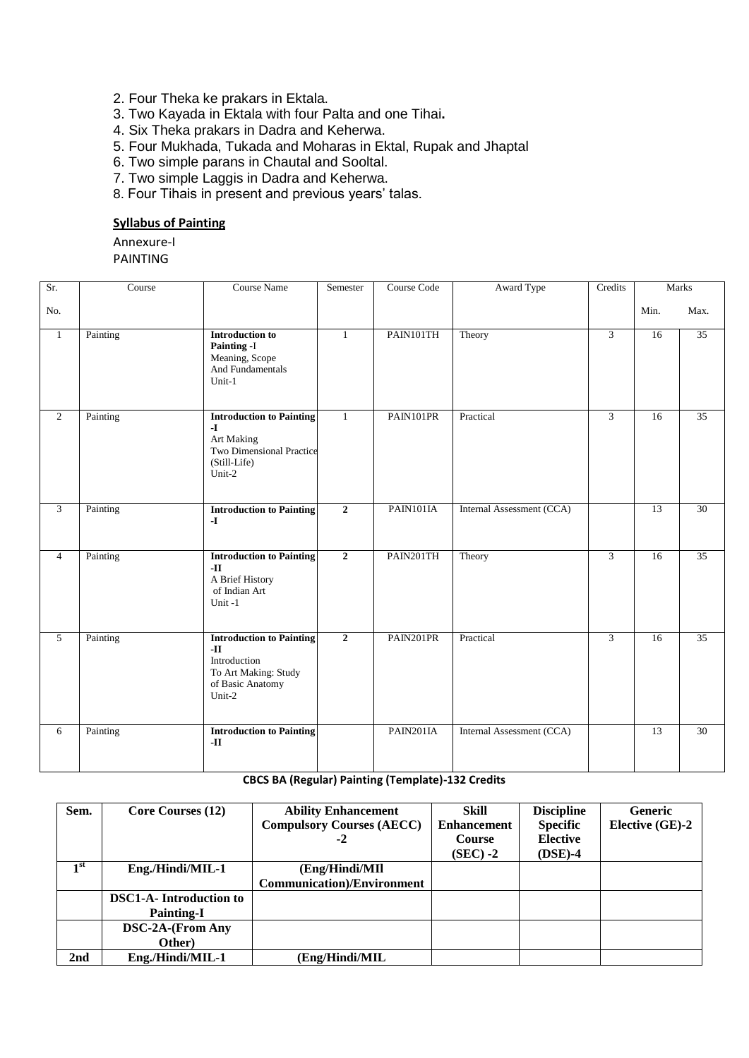- 2. Four Theka ke prakars in Ektala.
- 3. Two Kayada in Ektala with four Palta and one Tihai**.**
- 4. Six Theka prakars in Dadra and Keherwa.
- 5. Four Mukhada, Tukada and Moharas in Ektal, Rupak and Jhaptal
- 6. Two simple parans in Chautal and Sooltal.
- 7. Two simple Laggis in Dadra and Keherwa.
- 8. Four Tihais in present and previous years' talas.

#### **Syllabus of Painting**

Annexure-I

PAINTING

| Sr.            | Course   | <b>Course Name</b>                                                                                                  | Semester       | Course Code | Award Type                | Credits        | <b>Marks</b>    |                 |
|----------------|----------|---------------------------------------------------------------------------------------------------------------------|----------------|-------------|---------------------------|----------------|-----------------|-----------------|
| No.            |          |                                                                                                                     |                |             |                           |                | Min.            | Max.            |
| $\mathbf{1}$   | Painting | <b>Introduction to</b><br>Painting -I<br>Meaning, Scope<br>And Fundamentals<br>$Unit-1$                             | $\mathbf{1}$   | PAIN101TH   | Theory                    | $\overline{3}$ | 16              | 35              |
| $\overline{2}$ | Painting | <b>Introduction to Painting</b><br>$\mathbf{I}$<br>Art Making<br>Two Dimensional Practice<br>(Still-Life)<br>Unit-2 | $\mathbf{1}$   | PAIN101PR   | Practical                 | $\mathfrak{Z}$ | 16              | $\overline{35}$ |
| 3              | Painting | <b>Introduction to Painting</b><br>$-I$                                                                             | $\overline{2}$ | PAIN101IA   | Internal Assessment (CCA) |                | $\overline{13}$ | $\overline{30}$ |
| $\overline{4}$ | Painting | <b>Introduction to Painting</b><br>$\mathbf{H}$<br>A Brief History<br>of Indian Art<br>Unit-1                       | $\overline{2}$ | PAIN201TH   | Theory                    | $\mathfrak{Z}$ | 16              | 35              |
| 5              | Painting | <b>Introduction to Painting</b><br>$-II$<br>Introduction<br>To Art Making: Study<br>of Basic Anatomy<br>Unit-2      | $\overline{2}$ | PAIN201PR   | Practical                 | 3              | $\overline{16}$ | $\overline{35}$ |
| 6              | Painting | <b>Introduction to Painting</b><br>-II                                                                              |                | PAIN201IA   | Internal Assessment (CCA) |                | 13              | 30              |

#### **CBCS BA (Regular) Painting (Template)-132 Credits**

| Sem.            | Core Courses (12)              | <b>Ability Enhancement</b>         | Skill              | <b>Discipline</b> | <b>Generic</b>  |
|-----------------|--------------------------------|------------------------------------|--------------------|-------------------|-----------------|
|                 |                                | <b>Compulsory Courses (AECC)</b>   | <b>Enhancement</b> | <b>Specific</b>   | Elective (GE)-2 |
|                 |                                | $-2$                               | <b>Course</b>      | <b>Elective</b>   |                 |
|                 |                                |                                    | $(SEC) -2$         | $(DSE)-4$         |                 |
| 1 <sup>st</sup> | Eng./Hindi/MIL-1               | (Eng/Hindi/MII                     |                    |                   |                 |
|                 |                                | <b>Communication</b> )/Environment |                    |                   |                 |
|                 | <b>DSC1-A-</b> Introduction to |                                    |                    |                   |                 |
|                 | <b>Painting-I</b>              |                                    |                    |                   |                 |
|                 | DSC-2A-(From Any               |                                    |                    |                   |                 |
|                 | Other)                         |                                    |                    |                   |                 |
| 2nd             | Eng./Hindi/MIL-1               | (Eng/Hindi/MIL)                    |                    |                   |                 |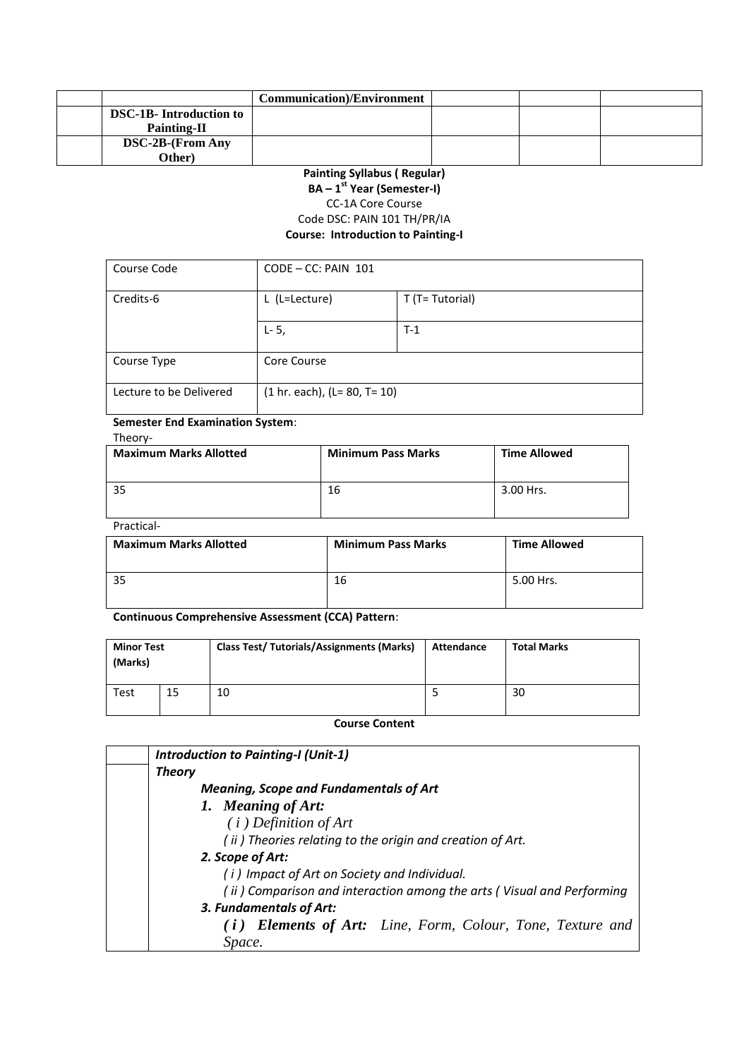|                                | <b>Communication</b> )/Environment |  |  |
|--------------------------------|------------------------------------|--|--|
| <b>DSC-1B-</b> Introduction to |                                    |  |  |
| <b>Painting-II</b>             |                                    |  |  |
| <b>DSC-2B-(From Any</b>        |                                    |  |  |
| Other)                         |                                    |  |  |

#### **Painting Syllabus ( Regular) BA – 1 st Year (Semester-I)** CC-1A Core Course Code DSC: PAIN 101 TH/PR/IA **Course: Introduction to Painting-I**

| Course Code             | $CODE - CC: PAIN 101$            |                 |
|-------------------------|----------------------------------|-----------------|
| Credits-6               | L (L=Lecture)                    | T (T= Tutorial) |
|                         | $L - 5$ ,                        | $T-1$           |
| Course Type             | Core Course                      |                 |
| Lecture to be Delivered | $(1 hr. each), (L = 80, T = 10)$ |                 |

#### **Semester End Examination System**: Theory-

| <b>Maximum Marks Allotted</b> | <b>Minimum Pass Marks</b> | <b>Time Allowed</b> |
|-------------------------------|---------------------------|---------------------|
| 35                            | 16                        | 3.00 Hrs.           |

Practical-

| <b>Maximum Marks Allotted</b> | <b>Minimum Pass Marks</b> | <b>Time Allowed</b> |
|-------------------------------|---------------------------|---------------------|
|                               | 16                        | 5.00 Hrs.           |

**Continuous Comprehensive Assessment (CCA) Pattern**:

| <b>Minor Test</b><br>(Marks) |    | <b>Class Test/ Tutorials/Assignments (Marks)</b> | Attendance | <b>Total Marks</b> |
|------------------------------|----|--------------------------------------------------|------------|--------------------|
| <b>Test</b>                  | 15 | 10                                               |            | 30                 |

**Course Content** 

| <b>Introduction to Painting-I (Unit-1)</b>                            |  |
|-----------------------------------------------------------------------|--|
| <b>Theory</b>                                                         |  |
| <b>Meaning, Scope and Fundamentals of Art</b>                         |  |
| 1. Meaning of Art:                                                    |  |
| $(i)$ Definition of Art                                               |  |
| (ii) Theories relating to the origin and creation of Art.             |  |
| 2. Scope of Art:                                                      |  |
| (i) Impact of Art on Society and Individual.                          |  |
| (ii) Comparison and interaction among the arts (Visual and Performing |  |
| 3. Fundamentals of Art:                                               |  |
| (i) Elements of Art: Line, Form, Colour, Tone, Texture and            |  |
| Space.                                                                |  |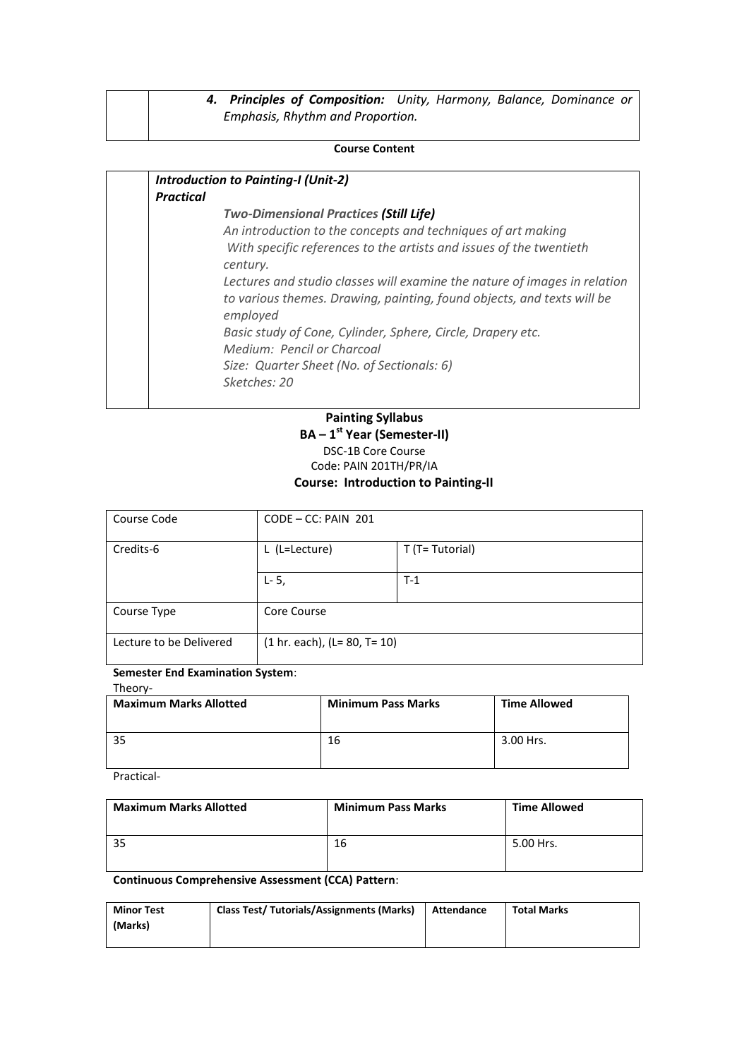| 4. Principles of Composition: Unity, Harmony, Balance, Dominance or |  |  |  |
|---------------------------------------------------------------------|--|--|--|
| Emphasis, Rhythm and Proportion.                                    |  |  |  |

#### **Course Content**

| <b>Practical</b><br><b>Two-Dimensional Practices (Still Life)</b><br>An introduction to the concepts and techniques of art making<br>With specific references to the artists and issues of the twentieth<br>century.<br>employed<br>Basic study of Cone, Cylinder, Sphere, Circle, Drapery etc.<br>Medium: Pencil or Charcoal<br>Size: Quarter Sheet (No. of Sectionals: 6) | <b>Introduction to Painting-I (Unit-2)</b>                                                                                                          |
|-----------------------------------------------------------------------------------------------------------------------------------------------------------------------------------------------------------------------------------------------------------------------------------------------------------------------------------------------------------------------------|-----------------------------------------------------------------------------------------------------------------------------------------------------|
|                                                                                                                                                                                                                                                                                                                                                                             |                                                                                                                                                     |
|                                                                                                                                                                                                                                                                                                                                                                             | Lectures and studio classes will examine the nature of images in relation<br>to various themes. Drawing, painting, found objects, and texts will be |
|                                                                                                                                                                                                                                                                                                                                                                             | Sketches: 20                                                                                                                                        |

### **Painting Syllabus BA – 1 st Year (Semester-II)** DSC-1B Core Course Code: PAIN 201TH/PR/IA

### **Course: Introduction to Painting-II**

| Course Code             | $CODE - CC: PAIN 201$            |                 |  |  |
|-------------------------|----------------------------------|-----------------|--|--|
| Credits-6               | L (L=Lecture)                    | T (T= Tutorial) |  |  |
|                         | $L - 5$ ,                        | $T-1$           |  |  |
| Course Type             | Core Course                      |                 |  |  |
| Lecture to be Delivered | $(1 hr. each), (L = 80, T = 10)$ |                 |  |  |

#### **Semester End Examination System**:

Theory-

| <b>Maximum Marks Allotted</b> | <b>Minimum Pass Marks</b> | <b>Time Allowed</b> |
|-------------------------------|---------------------------|---------------------|
|                               | 16                        | 3.00 Hrs.           |

Practical-

| <b>Maximum Marks Allotted</b> | <b>Minimum Pass Marks</b> | <b>Time Allowed</b> |
|-------------------------------|---------------------------|---------------------|
|                               | 16                        | 5.00 Hrs.           |

**Continuous Comprehensive Assessment (CCA) Pattern**:

| <b>Minor Test</b> | <b>Class Test/ Tutorials/Assignments (Marks)</b> | Attendance | <b>Total Marks</b> |
|-------------------|--------------------------------------------------|------------|--------------------|
| (Marks)           |                                                  |            |                    |
|                   |                                                  |            |                    |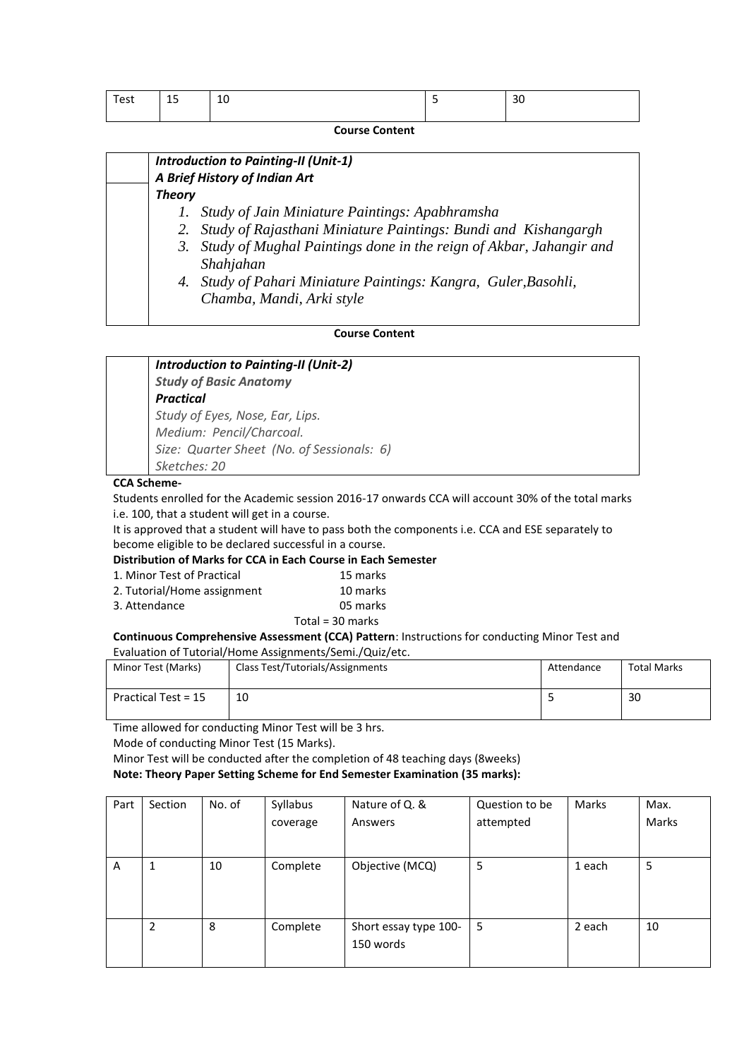| Test | $\overline{1}$<br>IJ | 10 | <br>30 |
|------|----------------------|----|--------|
|      |                      |    |        |

**Course Content** 

|               | <b>Introduction to Painting-II (Unit-1)</b><br>A Brief History of Indian Art                 |
|---------------|----------------------------------------------------------------------------------------------|
| <b>Theory</b> |                                                                                              |
|               | 1. Study of Jain Miniature Paintings: Apabhramsha                                            |
|               | 2. Study of Rajasthani Miniature Paintings: Bundi and Kishangargh                            |
|               | 3. Study of Mughal Paintings done in the reign of Akbar, Jahangir and<br>Shahjahan           |
|               | 4. Study of Pahari Miniature Paintings: Kangra, Guler, Basohli,<br>Chamba, Mandi, Arki style |

#### **Course Content**

#### *Introduction to Painting-II (Unit-2) Study of Basic Anatomy Practical Study of Eyes, Nose, Ear, Lips. Medium: Pencil/Charcoal. Size: Quarter Sheet (No. of Sessionals: 6)*

*Sketches: 20*

#### **CCA Scheme-**

Students enrolled for the Academic session 2016-17 onwards CCA will account 30% of the total marks i.e. 100, that a student will get in a course.

It is approved that a student will have to pass both the components i.e. CCA and ESE separately to become eligible to be declared successful in a course.

#### **Distribution of Marks for CCA in Each Course in Each Semester**

| 1. Minor Test of Practical  | 15 marks           |
|-----------------------------|--------------------|
| 2. Tutorial/Home assignment | 10 marks           |
| 3. Attendance               | 05 marks           |
|                             | Total = $30$ marks |

#### **Continuous Comprehensive Assessment (CCA) Pattern**: Instructions for conducting Minor Test and

#### Evaluation of Tutorial/Home Assignments/Semi./Quiz/etc.

| Minor Test (Marks)  | Class Test/Tutorials/Assignments | Attendance | <b>Total Marks</b> |
|---------------------|----------------------------------|------------|--------------------|
| Practical Test = 15 | 10                               |            | 30                 |

Time allowed for conducting Minor Test will be 3 hrs.

Mode of conducting Minor Test (15 Marks).

Minor Test will be conducted after the completion of 48 teaching days (8weeks)

**Note: Theory Paper Setting Scheme for End Semester Examination (35 marks):**

| Part | Section | No. of | Syllabus | Nature of Q. &        | Question to be | Marks  | Max.  |
|------|---------|--------|----------|-----------------------|----------------|--------|-------|
|      |         |        | coverage | Answers               | attempted      |        | Marks |
|      |         |        |          |                       |                |        |       |
| A    |         | 10     | Complete | Objective (MCQ)       | 5              | 1 each | 5     |
|      |         |        |          |                       |                |        |       |
|      |         |        |          |                       |                |        |       |
|      | 2       | 8      | Complete | Short essay type 100- | 5              | 2 each | 10    |
|      |         |        |          | 150 words             |                |        |       |
|      |         |        |          |                       |                |        |       |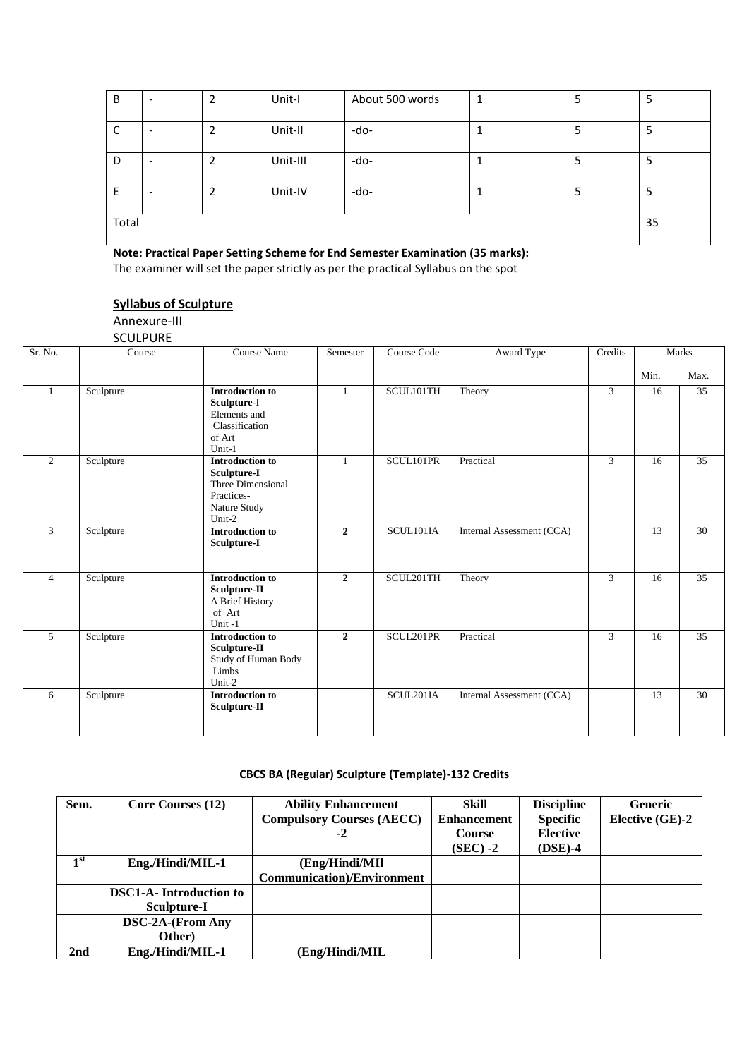| B     |  | 2 | Unit-I   | About 500 words |  | 5 |    |
|-------|--|---|----------|-----------------|--|---|----|
| C     |  |   | Unit-II  | -do-            |  | 5 |    |
| D     |  | 2 | Unit-III | -do-            |  | 5 | כ  |
| E     |  |   | Unit-IV  | -do-            |  | 5 |    |
| Total |  |   |          |                 |  |   | 35 |

**Note: Practical Paper Setting Scheme for End Semester Examination (35 marks):** The examiner will set the paper strictly as per the practical Syllabus on the spot

**Syllabus of Sculpture**

Annexure-III

**SCULPURE** 

| Sr. No.        | Course    | Course Name                                                                                        | Semester       | Course Code            | Award Type                | Credits |      | Marks           |
|----------------|-----------|----------------------------------------------------------------------------------------------------|----------------|------------------------|---------------------------|---------|------|-----------------|
|                |           |                                                                                                    |                |                        |                           |         | Min. | Max.            |
| $\mathbf{1}$   | Sculpture | <b>Introduction to</b><br>Sculpture-I<br>Elements and<br>Classification<br>of Art<br>Unit-1        | $\mathbf{1}$   | SCUL101TH              | Theory                    | 3       | 16   | 35              |
| 2              | Sculpture | <b>Introduction to</b><br>Sculpture-I<br>Three Dimensional<br>Practices-<br>Nature Study<br>Unit-2 | $\mathbf{1}$   | SCUL101PR              | Practical                 | 3       | 16   | 35              |
| 3              | Sculpture | <b>Introduction to</b><br>Sculpture-I                                                              | $\overline{2}$ | SCUL101IA              | Internal Assessment (CCA) |         | 13   | 30              |
| $\overline{4}$ | Sculpture | <b>Introduction to</b><br>Sculpture-II<br>A Brief History<br>of Art<br>Unit-1                      | $\mathbf{2}$   | SCUL201TH              | Theory                    | 3       | 16   | 35              |
| 5              | Sculpture | <b>Introduction to</b><br>Sculpture-II<br>Study of Human Body<br>Limbs<br>Unit-2                   | $\overline{2}$ | SCUL <sub>201PR</sub>  | Practical                 | 3       | 16   | 35              |
| 6              | Sculpture | <b>Introduction to</b><br>Sculpture-II                                                             |                | SCUL <sub>201</sub> IA | Internal Assessment (CCA) |         | 13   | $\overline{30}$ |

#### **CBCS BA (Regular) Sculpture (Template)-132 Credits**

| Sem.            | Core Courses (12)             | <b>Ability Enhancement</b>         | Skill              | <b>Discipline</b> | <b>Generic</b>  |
|-----------------|-------------------------------|------------------------------------|--------------------|-------------------|-----------------|
|                 |                               | <b>Compulsory Courses (AECC)</b>   | <b>Enhancement</b> | <b>Specific</b>   | Elective (GE)-2 |
|                 |                               | $-2$                               | <b>Course</b>      | <b>Elective</b>   |                 |
|                 |                               |                                    | $(SEC) -2$         | $(DSE)-4$         |                 |
| 1 <sup>st</sup> | Eng./Hindi/MIL-1              | (Eng/Hindi/MII)                    |                    |                   |                 |
|                 |                               | <b>Communication</b> )/Environment |                    |                   |                 |
|                 | <b>DSC1-A-Introduction to</b> |                                    |                    |                   |                 |
|                 | Sculpture-I                   |                                    |                    |                   |                 |
|                 | <b>DSC-2A-(From Any</b>       |                                    |                    |                   |                 |
|                 | Other)                        |                                    |                    |                   |                 |
| 2 <sub>nd</sub> | Eng./Hindi/MIL-1              | (Eng/Hindi/MIL                     |                    |                   |                 |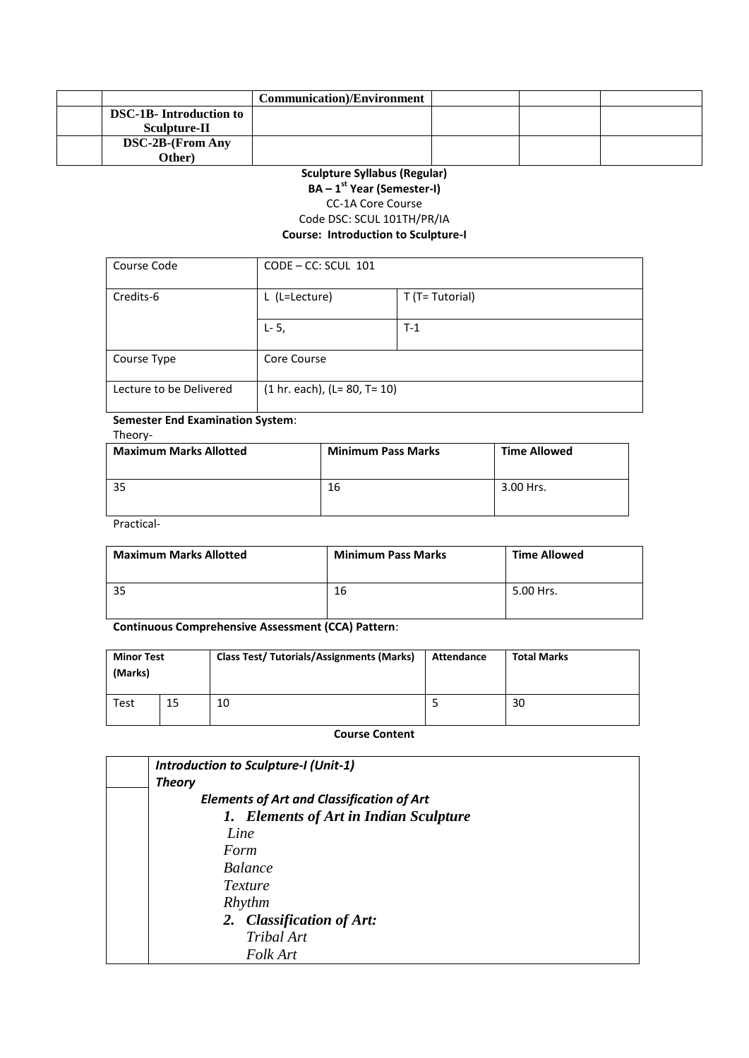|                                | <b>Communication</b> )/Environment |  |  |
|--------------------------------|------------------------------------|--|--|
| <b>DSC-1B-</b> Introduction to |                                    |  |  |
| Sculpture-II                   |                                    |  |  |
| <b>DSC-2B-(From Any</b>        |                                    |  |  |
| Other)                         |                                    |  |  |

#### **Sculpture Syllabus (Regular) BA – 1 st Year (Semester-I)** CC-1A Core Course Code DSC: SCUL 101TH/PR/IA **Course: Introduction to Sculpture-I**

| Course Code             | $CODE - CC: SCUL 101$          |                 |
|-------------------------|--------------------------------|-----------------|
| Credits-6               | L (L=Lecture)                  | T (T= Tutorial) |
|                         | $L - 5,$                       | $T-1$           |
| Course Type             | Core Course                    |                 |
| Lecture to be Delivered | $(1 hr. each), (L= 80, T= 10)$ |                 |

#### **Semester End Examination System**: Theory-

| <b>Maximum Marks Allotted</b> | <b>Minimum Pass Marks</b> | <b>Time Allowed</b> |
|-------------------------------|---------------------------|---------------------|
|                               | 16                        | 3.00 Hrs.           |

Practical-

| <b>Maximum Marks Allotted</b> | <b>Minimum Pass Marks</b> | <b>Time Allowed</b> |
|-------------------------------|---------------------------|---------------------|
|                               | 16                        | 5.00 Hrs.           |

#### **Continuous Comprehensive Assessment (CCA) Pattern**:

| <b>Minor Test</b><br>(Marks) |    | <b>Class Test/ Tutorials/Assignments (Marks)</b> | Attendance | <b>Total Marks</b> |
|------------------------------|----|--------------------------------------------------|------------|--------------------|
| <b>Test</b>                  | 15 | 10                                               |            | 30                 |

#### **Course Content**

| Introduction to Sculpture-I (Unit-1)             |
|--------------------------------------------------|
| <b>Theory</b>                                    |
| <b>Elements of Art and Classification of Art</b> |
| 1. Elements of Art in Indian Sculpture           |
| Line                                             |
| Form                                             |
| <i>Balance</i>                                   |
| Texture                                          |
| Rhythm                                           |
| 2. Classification of Art:                        |
| Tribal Art                                       |
| Folk Art                                         |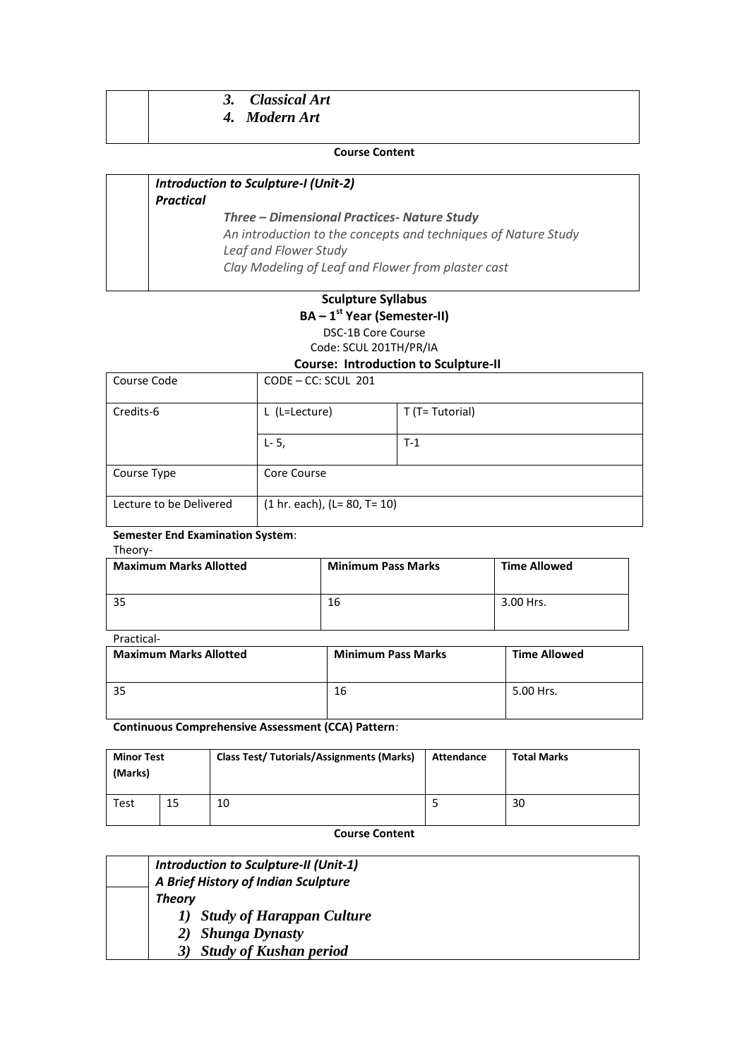# *3. Classical Art*

# *4. Modern Art*

#### **Course Content**

#### *Introduction to Sculpture-I (Unit-2) Practical Three – Dimensional Practices- Nature Study An introduction to the concepts and techniques of Nature Study Leaf and Flower Study Clay Modeling of Leaf and Flower from plaster cast*

#### **Sculpture Syllabus BA – 1 st Year (Semester-II)** DSC-1B Core Course Code: SCUL 201TH/PR/IA

#### **Course: Introduction to Sculpture-II**

| Course Code             | $CODE - CC: SCUL 201$            |                 |
|-------------------------|----------------------------------|-----------------|
| Credits-6               | L (L=Lecture)                    | T (T= Tutorial) |
|                         | $L - 5$ ,                        | $T-1$           |
| Course Type             | Core Course                      |                 |
| Lecture to be Delivered | $(1 hr. each), (L = 80, T = 10)$ |                 |

#### **Semester End Examination System**: Theory-

| <b>Maximum Marks Allotted</b> | <b>Minimum Pass Marks</b> | <b>Time Allowed</b> |
|-------------------------------|---------------------------|---------------------|
| 35                            | 16                        | 3.00 Hrs.           |

#### Practical-

| <b>Maximum Marks Allotted</b> | <b>Minimum Pass Marks</b> | <b>Time Allowed</b> |
|-------------------------------|---------------------------|---------------------|
|                               | 16                        | 5.00 Hrs.           |

**Continuous Comprehensive Assessment (CCA) Pattern**:

| <b>Minor Test</b><br>(Marks) |    | <b>Class Test/ Tutorials/Assignments (Marks)</b> | Attendance | <b>Total Marks</b> |
|------------------------------|----|--------------------------------------------------|------------|--------------------|
| Test                         | 15 | 10                                               |            | 30                 |

**Course Content** 

| Introduction to Sculpture-II (Unit-1) |
|---------------------------------------|
| A Brief History of Indian Sculpture   |
| <b>Theory</b>                         |
| 1) Study of Harappan Culture          |
| <b>Shunga Dynasty</b><br>2)           |
| <b>Study of Kushan period</b>         |